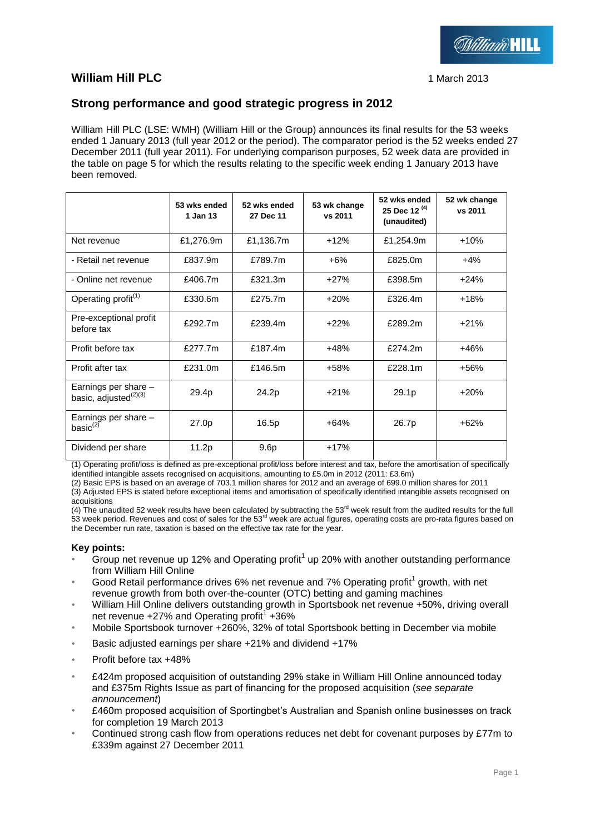

# **William Hill PLC** 1 March 2013

# **Strong performance and good strategic progress in 2012**

William Hill PLC (LSE: WMH) (William Hill or the Group) announces its final results for the 53 weeks ended 1 January 2013 (full year 2012 or the period). The comparator period is the 52 weeks ended 27 December 2011 (full year 2011). For underlying comparison purposes, 52 week data are provided in the table on page 5 for which the results relating to the specific week ending 1 January 2013 have been removed.

|                                                           | 53 wks ended<br>1 Jan 13 | 52 wks ended<br>27 Dec 11 | 53 wk change<br>vs 2011 | 52 wks ended<br>25 Dec 12 $(4)$<br>(unaudited) | 52 wk change<br>vs 2011 |
|-----------------------------------------------------------|--------------------------|---------------------------|-------------------------|------------------------------------------------|-------------------------|
| Net revenue                                               | £1,276.9m                | £1,136.7m                 | +12%                    | £1,254.9m                                      | $+10%$                  |
| - Retail net revenue                                      | £837.9m                  | £789.7m                   | +6%                     | £825.0m                                        | $+4\%$                  |
| - Online net revenue                                      | £406.7m                  | £321.3m                   | $+27%$                  | £398.5m                                        | $+24%$                  |
| Operating profit <sup>(1)</sup>                           | £330.6m                  | £275.7m                   | $+20%$                  | £326.4m                                        | $+18%$                  |
| Pre-exceptional profit<br>before tax                      | £292.7m                  | £239.4m                   | $+22%$                  | £289.2m                                        | $+21%$                  |
| Profit before tax                                         | £277.7m                  | £187.4m                   | $+48%$                  | £274.2m                                        | $+46%$                  |
| Profit after tax                                          | £231.0m                  | £146.5m                   | +58%                    | £228.1m                                        | $+56%$                  |
| Earnings per share -<br>basic, adjusted <sup>(2)(3)</sup> | 29.4p                    | 24.2p                     | $+21%$                  | 29.1p                                          | $+20%$                  |
| Earnings per share -<br>basi $c^{(2)}$                    | 27.0p                    | 16.5p                     | $+64%$                  | 26.7p                                          | $+62%$                  |
| Dividend per share                                        | 11.2p                    | 9.6 <sub>p</sub>          | $+17%$                  |                                                |                         |

(1) Operating profit/loss is defined as pre-exceptional profit/loss before interest and tax, before the amortisation of specifically identified intangible assets recognised on acquisitions, amounting to £5.0m in 2012 (2011: £3.6m)

(2) Basic EPS is based on an average of 703.1 million shares for 2012 and an average of 699.0 million shares for 2011 (3) Adjusted EPS is stated before exceptional items and amortisation of specifically identified intangible assets recognised on acquisitions

(4) The unaudited 52 week results have been calculated by subtracting the  $53<sup>rd</sup>$  week result from the audited results for the full 53 week period. Revenues and cost of sales for the  $53<sup>rd</sup>$  week are actual figures, operating costs are pro-rata figures based on the December run rate, taxation is based on the effective tax rate for the year.

## **Key points:**

- Group net revenue up 12% and Operating profit<sup>1</sup> up 20% with another outstanding performance from William Hill Online
- Good Retail performance drives 6% net revenue and 7% Operating profit<sup>1</sup> growth, with net revenue growth from both over-the-counter (OTC) betting and gaming machines
- William Hill Online delivers outstanding growth in Sportsbook net revenue +50%, driving overall net revenue +27% and Operating profit<sup>1</sup> +36%
- Mobile Sportsbook turnover +260%, 32% of total Sportsbook betting in December via mobile
- Basic adjusted earnings per share +21% and dividend +17%
- Profit before tax +48%
- £424m proposed acquisition of outstanding 29% stake in William Hill Online announced today and £375m Rights Issue as part of financing for the proposed acquisition (*see separate announcement*)
- £460m proposed acquisition of Sportingbet's Australian and Spanish online businesses on track for completion 19 March 2013
- Continued strong cash flow from operations reduces net debt for covenant purposes by £77m to £339m against 27 December 2011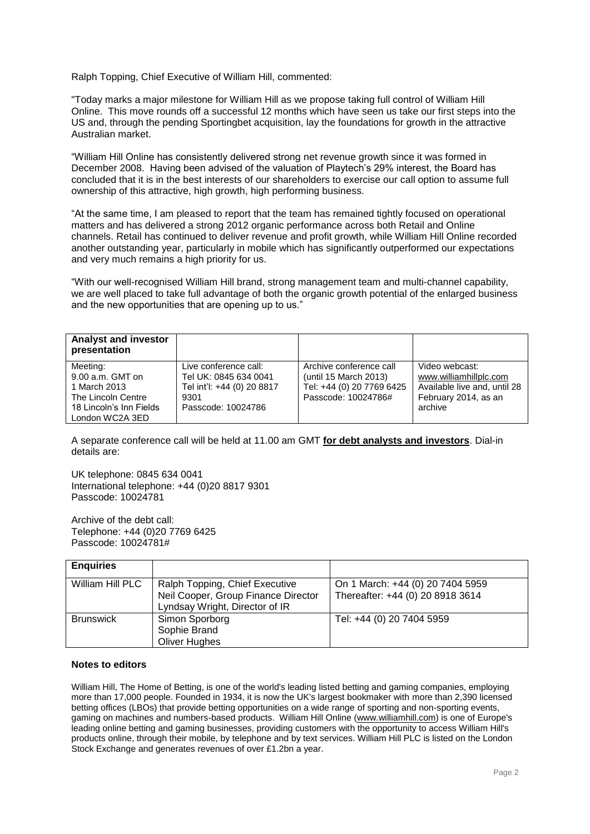Ralph Topping, Chief Executive of William Hill, commented:

"Today marks a major milestone for William Hill as we propose taking full control of William Hill Online. This move rounds off a successful 12 months which have seen us take our first steps into the US and, through the pending Sportingbet acquisition, lay the foundations for growth in the attractive Australian market.

"William Hill Online has consistently delivered strong net revenue growth since it was formed in December 2008. Having been advised of the valuation of Playtech's 29% interest, the Board has concluded that it is in the best interests of our shareholders to exercise our call option to assume full ownership of this attractive, high growth, high performing business.

"At the same time, I am pleased to report that the team has remained tightly focused on operational matters and has delivered a strong 2012 organic performance across both Retail and Online channels. Retail has continued to deliver revenue and profit growth, while William Hill Online recorded another outstanding year, particularly in mobile which has significantly outperformed our expectations and very much remains a high priority for us.

"With our well-recognised William Hill brand, strong management team and multi-channel capability, we are well placed to take full advantage of both the organic growth potential of the enlarged business and the new opportunities that are opening up to us."

| <b>Analyst and investor</b><br>presentation                                                                        |                                                                                                            |                                                                                                      |                                                                                                             |
|--------------------------------------------------------------------------------------------------------------------|------------------------------------------------------------------------------------------------------------|------------------------------------------------------------------------------------------------------|-------------------------------------------------------------------------------------------------------------|
| Meeting:<br>$9.00$ a.m. GMT on<br>1 March 2013<br>The Lincoln Centre<br>18 Lincoln's Inn Fields<br>London WC2A 3ED | Live conference call:<br>Tel UK: 0845 634 0041<br>Tel int'l: +44 (0) 20 8817<br>9301<br>Passcode: 10024786 | Archive conference call<br>(until 15 March 2013)<br>Tel: +44 (0) 20 7769 6425<br>Passcode: 10024786# | Video webcast:<br>www.williamhillplc.com<br>Available live and, until 28<br>February 2014, as an<br>archive |

A separate conference call will be held at 11.00 am GMT **for debt analysts and investors**. Dial-in details are:

UK telephone: 0845 634 0041 International telephone: +44 (0)20 8817 9301 Passcode: 10024781

Archive of the debt call: Telephone: +44 (0)20 7769 6425 Passcode: 10024781#

| <b>Enquiries</b> |                                                                       |                                  |
|------------------|-----------------------------------------------------------------------|----------------------------------|
| William Hill PLC | Ralph Topping, Chief Executive                                        | On 1 March: +44 (0) 20 7404 5959 |
|                  | Neil Cooper, Group Finance Director<br>Lyndsay Wright, Director of IR | Thereafter: +44 (0) 20 8918 3614 |
| <b>Brunswick</b> | Simon Sporborg                                                        | Tel: +44 (0) 20 7404 5959        |
|                  | Sophie Brand                                                          |                                  |
|                  | Oliver Hughes                                                         |                                  |

### **Notes to editors**

William Hill, The Home of Betting, is one of the world's leading listed betting and gaming companies, employing more than 17,000 people. Founded in 1934, it is now the UK's largest bookmaker with more than 2,390 licensed betting offices (LBOs) that provide betting opportunities on a wide range of sporting and non-sporting events, gaming on machines and numbers-based products. William Hill Online [\(www.williamhill.com\)](http://www.williamhill.com/) is one of Europe's leading online betting and gaming businesses, providing customers with the opportunity to access William Hill's products online, through their mobile, by telephone and by text services. William Hill PLC is listed on the London Stock Exchange and generates revenues of over £1.2bn a year.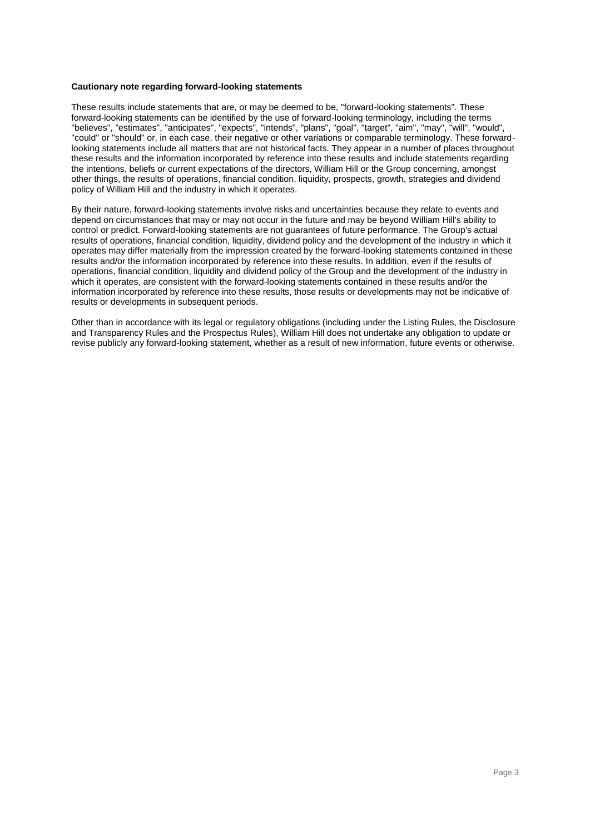#### **Cautionary note regarding forward-looking statements**

These results include statements that are, or may be deemed to be, "forward-looking statements". These forward-looking statements can be identified by the use of forward-looking terminology, including the terms "believes", "estimates", "anticipates", "expects", "intends", "plans", "goal", "target", "aim", "may", "will", "would", "could" or "should" or, in each case, their negative or other variations or comparable terminology. These forwardlooking statements include all matters that are not historical facts. They appear in a number of places throughout these results and the information incorporated by reference into these results and include statements regarding the intentions, beliefs or current expectations of the directors, William Hill or the Group concerning, amongst other things, the results of operations, financial condition, liquidity, prospects, growth, strategies and dividend policy of William Hill and the industry in which it operates.

By their nature, forward-looking statements involve risks and uncertainties because they relate to events and depend on circumstances that may or may not occur in the future and may be beyond William Hill's ability to control or predict. Forward-looking statements are not guarantees of future performance. The Group's actual results of operations, financial condition, liquidity, dividend policy and the development of the industry in which it operates may differ materially from the impression created by the forward-looking statements contained in these results and/or the information incorporated by reference into these results. In addition, even if the results of operations, financial condition, liquidity and dividend policy of the Group and the development of the industry in which it operates, are consistent with the forward-looking statements contained in these results and/or the information incorporated by reference into these results, those results or developments may not be indicative of results or developments in subsequent periods.

Other than in accordance with its legal or regulatory obligations (including under the Listing Rules, the Disclosure and Transparency Rules and the Prospectus Rules), William Hill does not undertake any obligation to update or revise publicly any forward-looking statement, whether as a result of new information, future events or otherwise.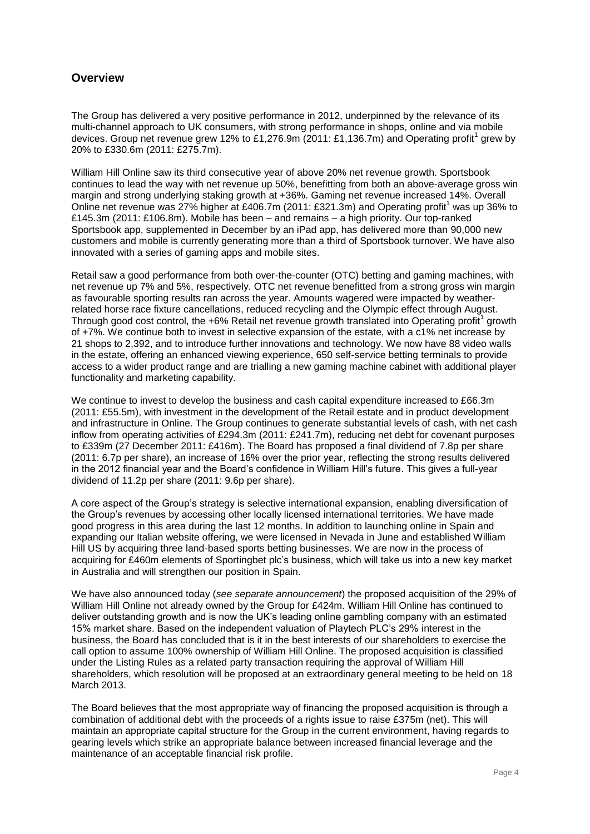# **Overview**

The Group has delivered a very positive performance in 2012, underpinned by the relevance of its multi-channel approach to UK consumers, with strong performance in shops, online and via mobile devices. Group net revenue grew 12% to £1,276.9m (2011: £1,136.7m) and Operating profit<sup>1</sup> grew by 20% to £330.6m (2011: £275.7m).

William Hill Online saw its third consecutive year of above 20% net revenue growth. Sportsbook continues to lead the way with net revenue up 50%, benefitting from both an above-average gross win margin and strong underlying staking growth at +36%. Gaming net revenue increased 14%. Overall Online net revenue was  $27\%$  higher at £406.7m (2011: £321.3m) and Operating profit<sup>1</sup> was up 36% to £145.3m (2011: £106.8m). Mobile has been – and remains – a high priority. Our top-ranked Sportsbook app, supplemented in December by an iPad app, has delivered more than 90,000 new customers and mobile is currently generating more than a third of Sportsbook turnover. We have also innovated with a series of gaming apps and mobile sites.

Retail saw a good performance from both over-the-counter (OTC) betting and gaming machines, with net revenue up 7% and 5%, respectively. OTC net revenue benefitted from a strong gross win margin as favourable sporting results ran across the year. Amounts wagered were impacted by weatherrelated horse race fixture cancellations, reduced recycling and the Olympic effect through August. Through good cost control, the +6% Retail net revenue growth translated into Operating profit<sup>1</sup> growth of +7%. We continue both to invest in selective expansion of the estate, with a c1% net increase by 21 shops to 2,392, and to introduce further innovations and technology. We now have 88 video walls in the estate, offering an enhanced viewing experience, 650 self-service betting terminals to provide access to a wider product range and are trialling a new gaming machine cabinet with additional player functionality and marketing capability.

We continue to invest to develop the business and cash capital expenditure increased to £66.3m (2011: £55.5m), with investment in the development of the Retail estate and in product development and infrastructure in Online. The Group continues to generate substantial levels of cash, with net cash inflow from operating activities of £294.3m (2011: £241.7m), reducing net debt for covenant purposes to £339m (27 December 2011: £416m). The Board has proposed a final dividend of 7.8p per share (2011: 6.7p per share), an increase of 16% over the prior year, reflecting the strong results delivered in the 2012 financial year and the Board's confidence in William Hill's future. This gives a full-year dividend of 11.2p per share (2011: 9.6p per share).

A core aspect of the Group's strategy is selective international expansion, enabling diversification of the Group's revenues by accessing other locally licensed international territories. We have made good progress in this area during the last 12 months. In addition to launching online in Spain and expanding our Italian website offering, we were licensed in Nevada in June and established William Hill US by acquiring three land-based sports betting businesses. We are now in the process of acquiring for £460m elements of Sportingbet plc's business, which will take us into a new key market in Australia and will strengthen our position in Spain.

We have also announced today (*see separate announcement*) the proposed acquisition of the 29% of William Hill Online not already owned by the Group for £424m. William Hill Online has continued to deliver outstanding growth and is now the UK's leading online gambling company with an estimated 15% market share. Based on the independent valuation of Playtech PLC's 29% interest in the business, the Board has concluded that is it in the best interests of our shareholders to exercise the call option to assume 100% ownership of William Hill Online. The proposed acquisition is classified under the Listing Rules as a related party transaction requiring the approval of William Hill shareholders, which resolution will be proposed at an extraordinary general meeting to be held on 18 March 2013.

The Board believes that the most appropriate way of financing the proposed acquisition is through a combination of additional debt with the proceeds of a rights issue to raise £375m (net). This will maintain an appropriate capital structure for the Group in the current environment, having regards to gearing levels which strike an appropriate balance between increased financial leverage and the maintenance of an acceptable financial risk profile.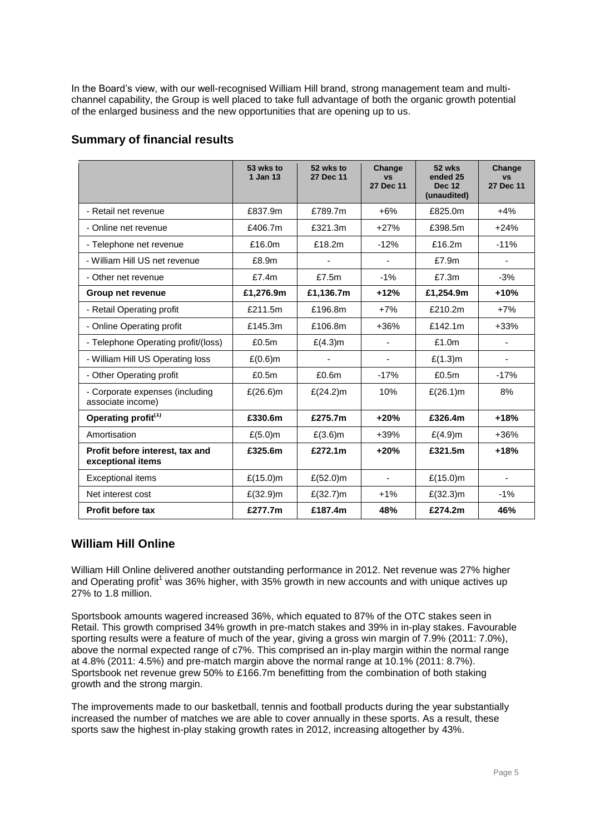In the Board's view, with our well-recognised William Hill brand, strong management team and multichannel capability, the Group is well placed to take full advantage of both the organic growth potential of the enlarged business and the new opportunities that are opening up to us.

## **Summary of financial results**

|                                                      | 53 wks to<br>1 Jan 13 | 52 wks to<br>27 Dec 11 | Change<br><b>VS</b><br>27 Dec 11 | 52 wks<br>ended 25<br><b>Dec 12</b><br>(unaudited) | Change<br><b>VS</b><br>27 Dec 11 |
|------------------------------------------------------|-----------------------|------------------------|----------------------------------|----------------------------------------------------|----------------------------------|
| - Retail net revenue                                 | £837.9m               | £789.7m                | $+6%$                            | £825.0m                                            | $+4%$                            |
| - Online net revenue                                 | £406.7m               | £321.3m                | $+27%$                           | £398.5m                                            | $+24%$                           |
| - Telephone net revenue                              | £16.0m                | £18.2m                 | $-12%$                           | £16.2m                                             | $-11%$                           |
| - William Hill US net revenue                        | £8.9m                 |                        |                                  | £7.9m                                              |                                  |
| - Other net revenue                                  | £7.4m                 | £7.5m                  | $-1%$                            | £7.3m                                              | $-3%$                            |
| Group net revenue                                    | £1,276.9m             | £1,136.7m              | $+12%$                           | £1,254.9m                                          | $+10%$                           |
| - Retail Operating profit                            | £211.5m               | £196.8m                | $+7%$                            | £210.2m                                            | $+7%$                            |
| - Online Operating profit                            | £145.3m               | £106.8m                | +36%                             | £142.1m                                            | $+33%$                           |
| - Telephone Operating profit/(loss)                  | £0.5m                 | £(4.3)m                |                                  | £1.0m                                              |                                  |
| - William Hill US Operating loss                     | $£(0.6)$ m            |                        | $\blacksquare$                   | £(1.3)m                                            | ÷,                               |
| - Other Operating profit                             | £0.5m                 | £0.6m                  | $-17%$                           | £0.5m                                              | $-17%$                           |
| - Corporate expenses (including<br>associate income) | £ $(26.6)$ m          | £ $(24.2)$ m           | 10%                              | £(26.1)m                                           | 8%                               |
| Operating profit <sup>(1)</sup>                      | £330.6m               | £275.7m                | $+20%$                           | £326.4m                                            | $+18%$                           |
| Amortisation                                         | £(5.0)m               | £(3.6)m                | $+39%$                           | $£(4.9)$ m                                         | $+36%$                           |
| Profit before interest, tax and<br>exceptional items | £325.6m               | £272.1m                | $+20%$                           | £321.5m                                            | $+18%$                           |
| <b>Exceptional items</b>                             | £(15.0)m              | £ $(52.0)$ m           | $\blacksquare$                   | $£(15.0)$ m                                        | ÷                                |
| Net interest cost                                    | £(32.9) m             | £(32.7)m               | $+1%$                            | £(32.3)m                                           | $-1%$                            |
| <b>Profit before tax</b>                             | £277.7m               | £187.4m                | 48%                              | £274.2m                                            | 46%                              |

## **William Hill Online**

William Hill Online delivered another outstanding performance in 2012. Net revenue was 27% higher and Operating profit<sup>1</sup> was 36% higher, with 35% growth in new accounts and with unique actives up 27% to 1.8 million.

Sportsbook amounts wagered increased 36%, which equated to 87% of the OTC stakes seen in Retail. This growth comprised 34% growth in pre-match stakes and 39% in in-play stakes. Favourable sporting results were a feature of much of the year, giving a gross win margin of 7.9% (2011: 7.0%), above the normal expected range of c7%. This comprised an in-play margin within the normal range at 4.8% (2011: 4.5%) and pre-match margin above the normal range at 10.1% (2011: 8.7%). Sportsbook net revenue grew 50% to £166.7m benefitting from the combination of both staking growth and the strong margin.

The improvements made to our basketball, tennis and football products during the year substantially increased the number of matches we are able to cover annually in these sports. As a result, these sports saw the highest in-play staking growth rates in 2012, increasing altogether by 43%.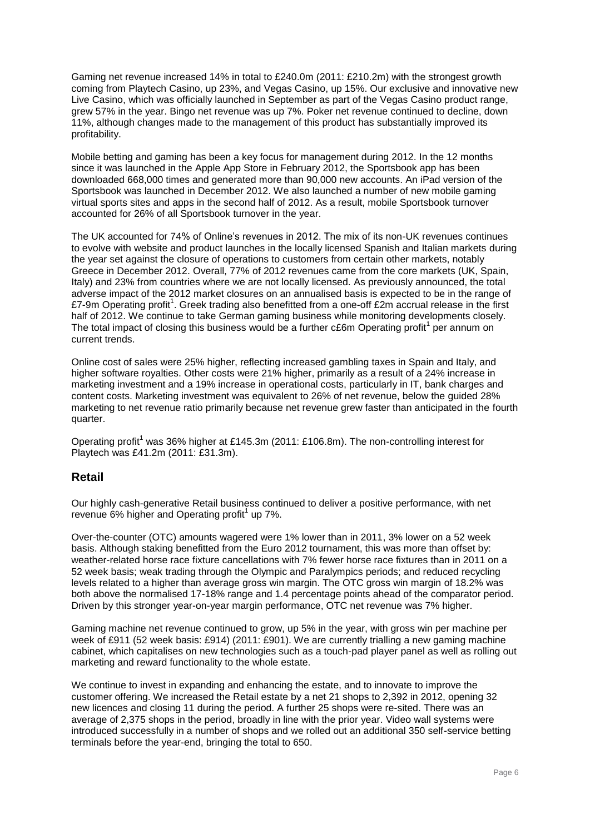Gaming net revenue increased 14% in total to £240.0m (2011: £210.2m) with the strongest growth coming from Playtech Casino, up 23%, and Vegas Casino, up 15%. Our exclusive and innovative new Live Casino, which was officially launched in September as part of the Vegas Casino product range, grew 57% in the year. Bingo net revenue was up 7%. Poker net revenue continued to decline, down 11%, although changes made to the management of this product has substantially improved its profitability.

Mobile betting and gaming has been a key focus for management during 2012. In the 12 months since it was launched in the Apple App Store in February 2012, the Sportsbook app has been downloaded 668,000 times and generated more than 90,000 new accounts. An iPad version of the Sportsbook was launched in December 2012. We also launched a number of new mobile gaming virtual sports sites and apps in the second half of 2012. As a result, mobile Sportsbook turnover accounted for 26% of all Sportsbook turnover in the year.

The UK accounted for 74% of Online's revenues in 2012. The mix of its non-UK revenues continues to evolve with website and product launches in the locally licensed Spanish and Italian markets during the year set against the closure of operations to customers from certain other markets, notably Greece in December 2012. Overall, 77% of 2012 revenues came from the core markets (UK, Spain, Italy) and 23% from countries where we are not locally licensed. As previously announced, the total adverse impact of the 2012 market closures on an annualised basis is expected to be in the range of £7-9m Operating profit<sup>1</sup>. Greek trading also benefitted from a one-off £2m accrual release in the first half of 2012. We continue to take German gaming business while monitoring developments closely. The total impact of closing this business would be a further  $c \epsilon$ 6m Operating profit<sup>1</sup> per annum on current trends.

Online cost of sales were 25% higher, reflecting increased gambling taxes in Spain and Italy, and higher software royalties. Other costs were 21% higher, primarily as a result of a 24% increase in marketing investment and a 19% increase in operational costs, particularly in IT, bank charges and content costs. Marketing investment was equivalent to 26% of net revenue, below the guided 28% marketing to net revenue ratio primarily because net revenue grew faster than anticipated in the fourth quarter.

Operating profit<sup>1</sup> was 36% higher at £145.3m (2011: £106.8m). The non-controlling interest for Playtech was £41.2m (2011: £31.3m).

## **Retail**

Our highly cash-generative Retail business continued to deliver a positive performance, with net revenue  $6\%$  higher and Operating profit<sup>1</sup> up 7%.

Over-the-counter (OTC) amounts wagered were 1% lower than in 2011, 3% lower on a 52 week basis. Although staking benefitted from the Euro 2012 tournament, this was more than offset by: weather-related horse race fixture cancellations with 7% fewer horse race fixtures than in 2011 on a 52 week basis; weak trading through the Olympic and Paralympics periods; and reduced recycling levels related to a higher than average gross win margin. The OTC gross win margin of 18.2% was both above the normalised 17-18% range and 1.4 percentage points ahead of the comparator period. Driven by this stronger year-on-year margin performance, OTC net revenue was 7% higher.

Gaming machine net revenue continued to grow, up 5% in the year, with gross win per machine per week of £911 (52 week basis: £914) (2011: £901). We are currently trialling a new gaming machine cabinet, which capitalises on new technologies such as a touch-pad player panel as well as rolling out marketing and reward functionality to the whole estate.

We continue to invest in expanding and enhancing the estate, and to innovate to improve the customer offering. We increased the Retail estate by a net 21 shops to 2,392 in 2012, opening 32 new licences and closing 11 during the period. A further 25 shops were re-sited. There was an average of 2,375 shops in the period, broadly in line with the prior year. Video wall systems were introduced successfully in a number of shops and we rolled out an additional 350 self-service betting terminals before the year-end, bringing the total to 650.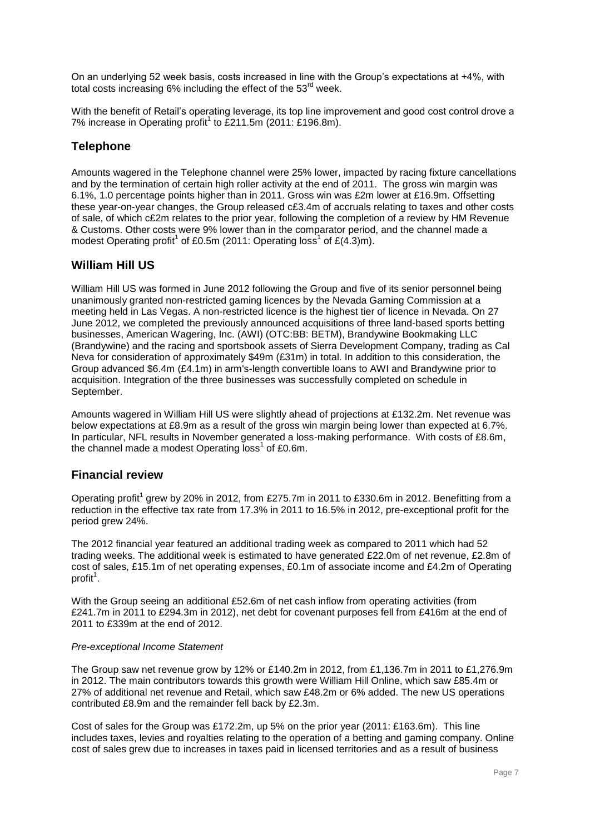On an underlying 52 week basis, costs increased in line with the Group's expectations at +4%, with total costs increasing 6% including the effect of the 53<sup>rd</sup> week.

With the benefit of Retail's operating leverage, its top line improvement and good cost control drove a 7% increase in Operating profit<sup>1</sup> to £211.5m (2011: £196.8m).

# **Telephone**

Amounts wagered in the Telephone channel were 25% lower, impacted by racing fixture cancellations and by the termination of certain high roller activity at the end of 2011. The gross win margin was 6.1%, 1.0 percentage points higher than in 2011. Gross win was £2m lower at £16.9m. Offsetting these year-on-year changes, the Group released c£3.4m of accruals relating to taxes and other costs of sale, of which c£2m relates to the prior year, following the completion of a review by HM Revenue & Customs. Other costs were 9% lower than in the comparator period, and the channel made a modest Operating profit<sup>1</sup> of £0.5m (2011: Operating loss<sup>1</sup> of £(4.3)m).

# **William Hill US**

William Hill US was formed in June 2012 following the Group and five of its senior personnel being unanimously granted non-restricted gaming licences by the Nevada Gaming Commission at a meeting held in Las Vegas. A non-restricted licence is the highest tier of licence in Nevada. On 27 June 2012, we completed the previously announced acquisitions of three land-based sports betting businesses, American Wagering, Inc. (AWI) (OTC:BB: BETM), Brandywine Bookmaking LLC (Brandywine) and the racing and sportsbook assets of Sierra Development Company, trading as Cal Neva for consideration of approximately \$49m (£31m) in total. In addition to this consideration, the Group advanced \$6.4m (£4.1m) in arm's-length convertible loans to AWI and Brandywine prior to acquisition. Integration of the three businesses was successfully completed on schedule in September.

Amounts wagered in William Hill US were slightly ahead of projections at £132.2m. Net revenue was below expectations at £8.9m as a result of the gross win margin being lower than expected at 6.7%. In particular, NFL results in November generated a loss-making performance. With costs of £8.6m, the channel made a modest Operating  $loss<sup>1</sup>$  of £0.6m.

## **Financial review**

Operating profit<sup>1</sup> grew by 20% in 2012, from £275.7m in 2011 to £330.6m in 2012. Benefitting from a reduction in the effective tax rate from 17.3% in 2011 to 16.5% in 2012, pre-exceptional profit for the period grew 24%.

The 2012 financial year featured an additional trading week as compared to 2011 which had 52 trading weeks. The additional week is estimated to have generated £22.0m of net revenue, £2.8m of cost of sales, £15.1m of net operating expenses, £0.1m of associate income and £4.2m of Operating profit<sup>1</sup>.

With the Group seeing an additional £52.6m of net cash inflow from operating activities (from £241.7m in 2011 to £294.3m in 2012), net debt for covenant purposes fell from £416m at the end of 2011 to £339m at the end of 2012.

## *Pre-exceptional Income Statement*

The Group saw net revenue grow by 12% or £140.2m in 2012, from £1,136.7m in 2011 to £1,276.9m in 2012. The main contributors towards this growth were William Hill Online, which saw £85.4m or 27% of additional net revenue and Retail, which saw £48.2m or 6% added. The new US operations contributed £8.9m and the remainder fell back by £2.3m.

Cost of sales for the Group was £172.2m, up 5% on the prior year (2011: £163.6m). This line includes taxes, levies and royalties relating to the operation of a betting and gaming company. Online cost of sales grew due to increases in taxes paid in licensed territories and as a result of business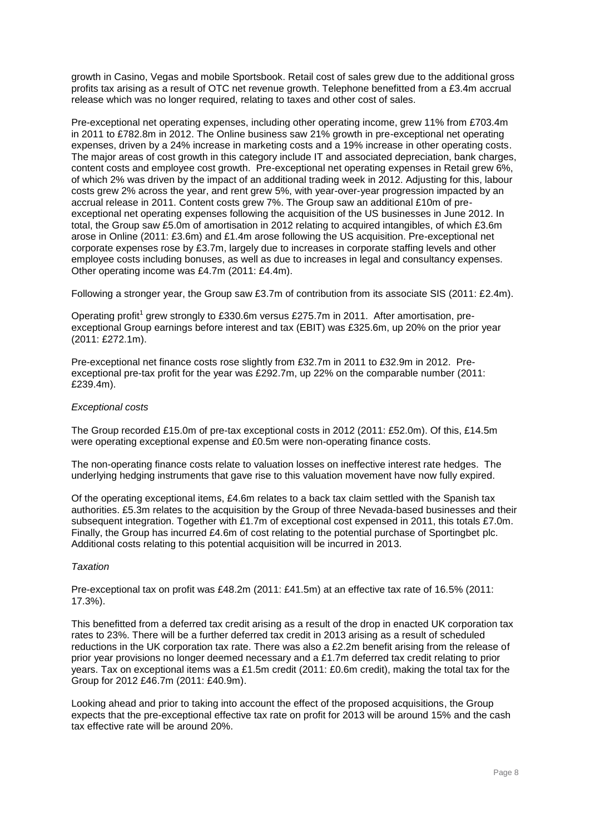growth in Casino, Vegas and mobile Sportsbook. Retail cost of sales grew due to the additional gross profits tax arising as a result of OTC net revenue growth. Telephone benefitted from a £3.4m accrual release which was no longer required, relating to taxes and other cost of sales.

Pre-exceptional net operating expenses, including other operating income, grew 11% from £703.4m in 2011 to £782.8m in 2012. The Online business saw 21% growth in pre-exceptional net operating expenses, driven by a 24% increase in marketing costs and a 19% increase in other operating costs. The major areas of cost growth in this category include IT and associated depreciation, bank charges, content costs and employee cost growth. Pre-exceptional net operating expenses in Retail grew 6%, of which 2% was driven by the impact of an additional trading week in 2012. Adjusting for this, labour costs grew 2% across the year, and rent grew 5%, with year-over-year progression impacted by an accrual release in 2011. Content costs grew 7%. The Group saw an additional £10m of preexceptional net operating expenses following the acquisition of the US businesses in June 2012. In total, the Group saw £5.0m of amortisation in 2012 relating to acquired intangibles, of which £3.6m arose in Online (2011: £3.6m) and £1.4m arose following the US acquisition. Pre-exceptional net corporate expenses rose by £3.7m, largely due to increases in corporate staffing levels and other employee costs including bonuses, as well as due to increases in legal and consultancy expenses. Other operating income was £4.7m (2011: £4.4m).

Following a stronger year, the Group saw £3.7m of contribution from its associate SIS (2011: £2.4m).

Operating profit<sup>1</sup> grew strongly to £330.6m versus £275.7m in 2011. After amortisation, preexceptional Group earnings before interest and tax (EBIT) was £325.6m, up 20% on the prior year (2011: £272.1m).

Pre-exceptional net finance costs rose slightly from £32.7m in 2011 to £32.9m in 2012. Preexceptional pre-tax profit for the year was £292.7m, up 22% on the comparable number (2011: £239.4m).

## *Exceptional costs*

The Group recorded £15.0m of pre-tax exceptional costs in 2012 (2011: £52.0m). Of this, £14.5m were operating exceptional expense and £0.5m were non-operating finance costs.

The non-operating finance costs relate to valuation losses on ineffective interest rate hedges. The underlying hedging instruments that gave rise to this valuation movement have now fully expired.

Of the operating exceptional items, £4.6m relates to a back tax claim settled with the Spanish tax authorities. £5.3m relates to the acquisition by the Group of three Nevada-based businesses and their subsequent integration. Together with £1.7m of exceptional cost expensed in 2011, this totals £7.0m. Finally, the Group has incurred £4.6m of cost relating to the potential purchase of Sportingbet plc. Additional costs relating to this potential acquisition will be incurred in 2013.

## *Taxation*

Pre-exceptional tax on profit was £48.2m (2011: £41.5m) at an effective tax rate of 16.5% (2011: 17.3%).

This benefitted from a deferred tax credit arising as a result of the drop in enacted UK corporation tax rates to 23%. There will be a further deferred tax credit in 2013 arising as a result of scheduled reductions in the UK corporation tax rate. There was also a £2.2m benefit arising from the release of prior year provisions no longer deemed necessary and a £1.7m deferred tax credit relating to prior years. Tax on exceptional items was a £1.5m credit (2011: £0.6m credit), making the total tax for the Group for 2012 £46.7m (2011: £40.9m).

Looking ahead and prior to taking into account the effect of the proposed acquisitions, the Group expects that the pre-exceptional effective tax rate on profit for 2013 will be around 15% and the cash tax effective rate will be around 20%.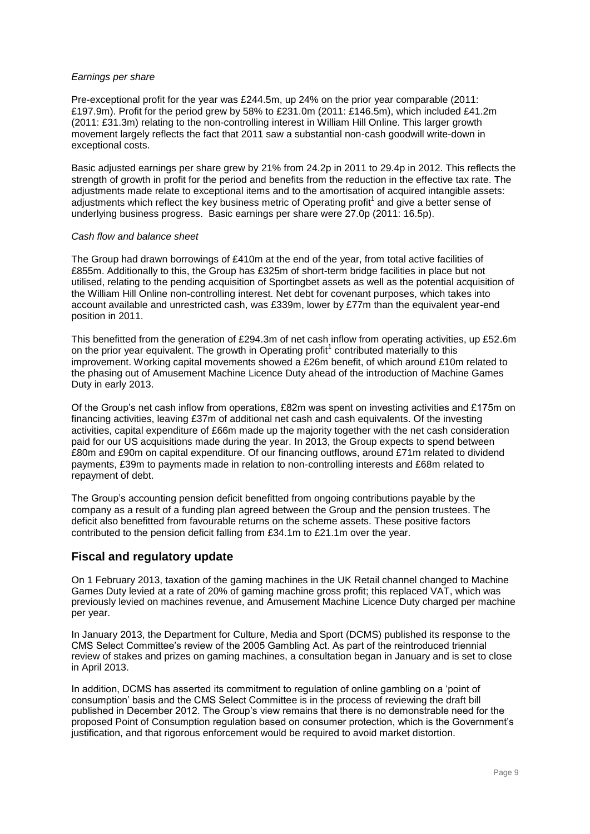## *Earnings per share*

Pre-exceptional profit for the year was £244.5m, up 24% on the prior year comparable (2011: £197.9m). Profit for the period grew by 58% to £231.0m (2011: £146.5m), which included £41.2m (2011: £31.3m) relating to the non-controlling interest in William Hill Online. This larger growth movement largely reflects the fact that 2011 saw a substantial non-cash goodwill write-down in exceptional costs.

Basic adjusted earnings per share grew by 21% from 24.2p in 2011 to 29.4p in 2012. This reflects the strength of growth in profit for the period and benefits from the reduction in the effective tax rate. The adjustments made relate to exceptional items and to the amortisation of acquired intangible assets: adjustments which reflect the key business metric of Operating profit<sup>1</sup> and give a better sense of underlying business progress. Basic earnings per share were 27.0p (2011: 16.5p).

## *Cash flow and balance sheet*

The Group had drawn borrowings of £410m at the end of the year, from total active facilities of £855m. Additionally to this, the Group has £325m of short-term bridge facilities in place but not utilised, relating to the pending acquisition of Sportingbet assets as well as the potential acquisition of the William Hill Online non-controlling interest. Net debt for covenant purposes, which takes into account available and unrestricted cash, was £339m, lower by £77m than the equivalent year-end position in 2011.

This benefitted from the generation of £294.3m of net cash inflow from operating activities, up £52.6m on the prior year equivalent. The growth in Operating profit<sup>1</sup> contributed materially to this improvement. Working capital movements showed a £26m benefit, of which around £10m related to the phasing out of Amusement Machine Licence Duty ahead of the introduction of Machine Games Duty in early 2013.

Of the Group's net cash inflow from operations, £82m was spent on investing activities and £175m on financing activities, leaving £37m of additional net cash and cash equivalents. Of the investing activities, capital expenditure of £66m made up the majority together with the net cash consideration paid for our US acquisitions made during the year. In 2013, the Group expects to spend between £80m and £90m on capital expenditure. Of our financing outflows, around £71m related to dividend payments, £39m to payments made in relation to non-controlling interests and £68m related to repayment of debt.

The Group's accounting pension deficit benefitted from ongoing contributions payable by the company as a result of a funding plan agreed between the Group and the pension trustees. The deficit also benefitted from favourable returns on the scheme assets. These positive factors contributed to the pension deficit falling from £34.1m to £21.1m over the year.

## **Fiscal and regulatory update**

On 1 February 2013, taxation of the gaming machines in the UK Retail channel changed to Machine Games Duty levied at a rate of 20% of gaming machine gross profit; this replaced VAT, which was previously levied on machines revenue, and Amusement Machine Licence Duty charged per machine per year.

In January 2013, the Department for Culture, Media and Sport (DCMS) published its response to the CMS Select Committee's review of the 2005 Gambling Act. As part of the reintroduced triennial review of stakes and prizes on gaming machines, a consultation began in January and is set to close in April 2013.

In addition, DCMS has asserted its commitment to regulation of online gambling on a 'point of consumption' basis and the CMS Select Committee is in the process of reviewing the draft bill published in December 2012. The Group's view remains that there is no demonstrable need for the proposed Point of Consumption regulation based on consumer protection, which is the Government's justification, and that rigorous enforcement would be required to avoid market distortion.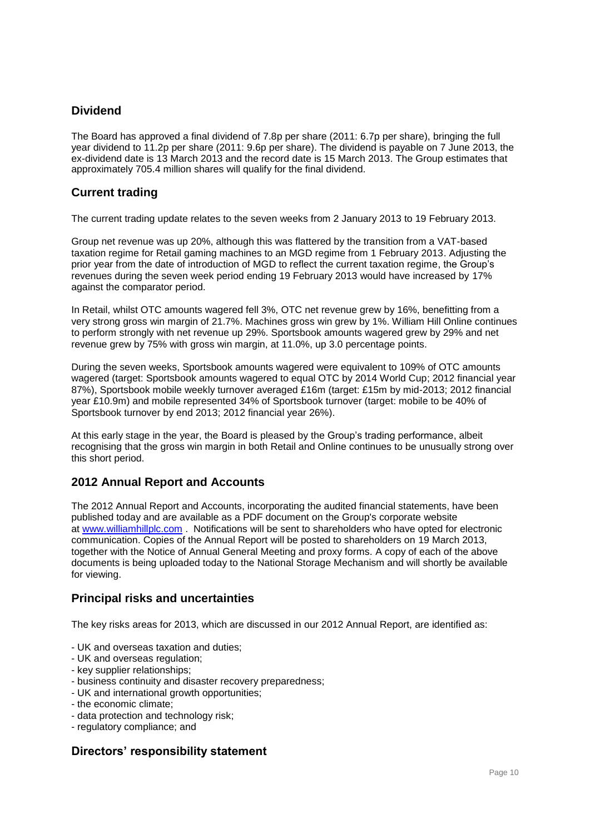# **Dividend**

The Board has approved a final dividend of 7.8p per share (2011: 6.7p per share), bringing the full year dividend to 11.2p per share (2011: 9.6p per share). The dividend is payable on 7 June 2013, the ex-dividend date is 13 March 2013 and the record date is 15 March 2013. The Group estimates that approximately 705.4 million shares will qualify for the final dividend.

# **Current trading**

The current trading update relates to the seven weeks from 2 January 2013 to 19 February 2013.

Group net revenue was up 20%, although this was flattered by the transition from a VAT-based taxation regime for Retail gaming machines to an MGD regime from 1 February 2013. Adjusting the prior year from the date of introduction of MGD to reflect the current taxation regime, the Group's revenues during the seven week period ending 19 February 2013 would have increased by 17% against the comparator period.

In Retail, whilst OTC amounts wagered fell 3%, OTC net revenue grew by 16%, benefitting from a very strong gross win margin of 21.7%. Machines gross win grew by 1%. William Hill Online continues to perform strongly with net revenue up 29%. Sportsbook amounts wagered grew by 29% and net revenue grew by 75% with gross win margin, at 11.0%, up 3.0 percentage points.

During the seven weeks, Sportsbook amounts wagered were equivalent to 109% of OTC amounts wagered (target: Sportsbook amounts wagered to equal OTC by 2014 World Cup; 2012 financial year 87%), Sportsbook mobile weekly turnover averaged £16m (target: £15m by mid-2013; 2012 financial year £10.9m) and mobile represented 34% of Sportsbook turnover (target: mobile to be 40% of Sportsbook turnover by end 2013; 2012 financial year 26%).

At this early stage in the year, the Board is pleased by the Group's trading performance, albeit recognising that the gross win margin in both Retail and Online continues to be unusually strong over this short period.

# **2012 Annual Report and Accounts**

The 2012 Annual Report and Accounts, incorporating the audited financial statements, have been published today and are available as a PDF document on the Group's corporate website at [www.williamhillplc.com](http://www.williamhillplc.com/) . Notifications will be sent to shareholders who have opted for electronic communication. Copies of the Annual Report will be posted to shareholders on 19 March 2013, together with the Notice of Annual General Meeting and proxy forms. A copy of each of the above documents is being uploaded today to the National Storage Mechanism and will shortly be available for viewing.

# **Principal risks and uncertainties**

The key risks areas for 2013, which are discussed in our 2012 Annual Report, are identified as:

- UK and overseas taxation and duties;
- UK and overseas regulation;
- key supplier relationships;
- business continuity and disaster recovery preparedness;
- UK and international growth opportunities;
- the economic climate;
- data protection and technology risk;
- regulatory compliance; and

# **Directors' responsibility statement**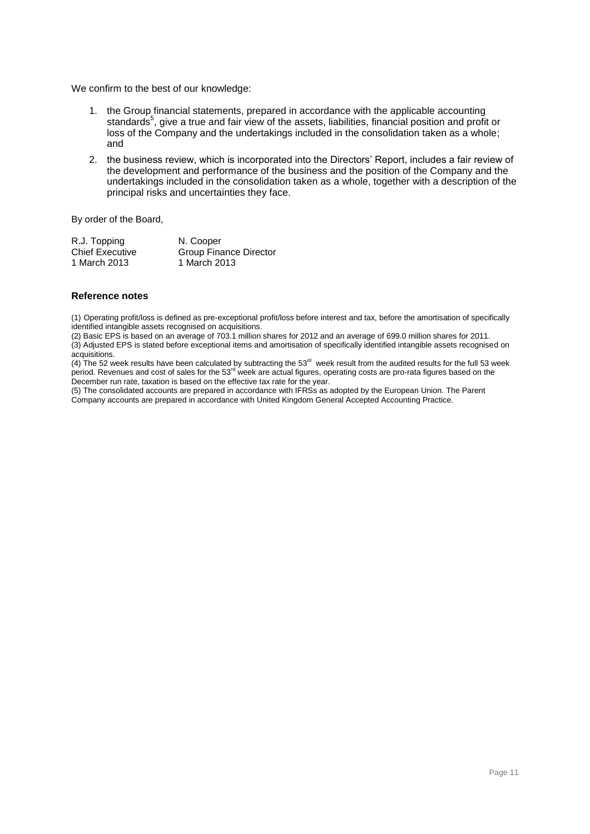We confirm to the best of our knowledge:

- 1. the Group financial statements, prepared in accordance with the applicable accounting standards<sup>5</sup>, give a true and fair view of the assets, liabilities, financial position and profit or loss of the Company and the undertakings included in the consolidation taken as a whole; and
- 2. the business review, which is incorporated into the Directors' Report, includes a fair review of the development and performance of the business and the position of the Company and the undertakings included in the consolidation taken as a whole, together with a description of the principal risks and uncertainties they face.

By order of the Board,

| R.J. Topping           | N. Cooper              |
|------------------------|------------------------|
| <b>Chief Executive</b> | Group Finance Director |
| 1 March 2013           | 1 March 2013           |

## **Reference notes**

(1) Operating profit/loss is defined as pre-exceptional profit/loss before interest and tax, before the amortisation of specifically identified intangible assets recognised on acquisitions.

(2) Basic EPS is based on an average of 703.1 million shares for 2012 and an average of 699.0 million shares for 2011.  $(3)$  Adjusted EPS is stated before exceptional items and amortisation of specifically identified intangible assets recognised on acquisitions.

(4) The 52 week results have been calculated by subtracting the  $53<sup>rd</sup>$  week result from the audited results for the full 53 week period. Revenues and cost of sales for the 53<sup>rd</sup> week are actual figures, operating costs are pro-rata figures based on the December run rate, taxation is based on the effective tax rate for the year.

(5) The consolidated accounts are prepared in accordance with IFRSs as adopted by the European Union. The Parent Company accounts are prepared in accordance with United Kingdom General Accepted Accounting Practice.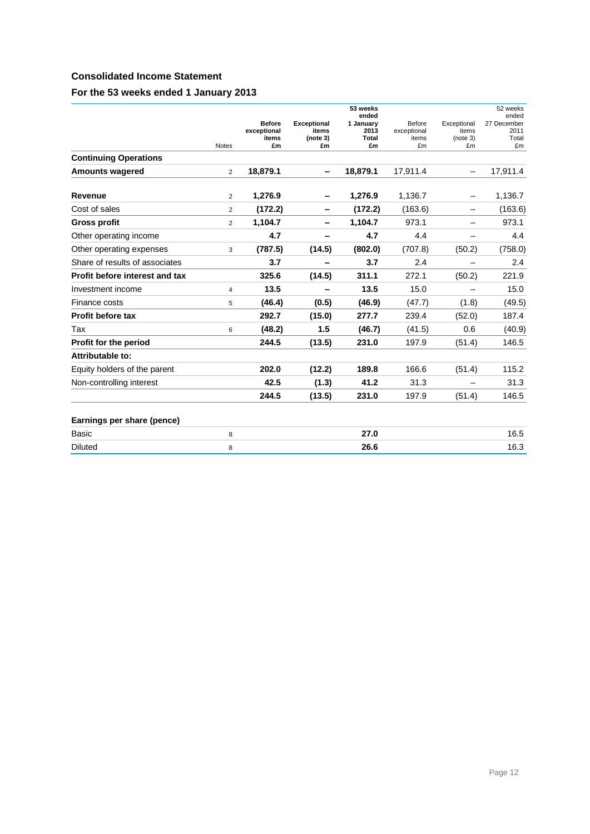## **Consolidated Income Statement**

## **For the 53 weeks ended 1 January 2013**

|                                |                |                                             |                                               | 53 weeks<br>ended                |                                      |                                        | 52 weeks<br>ended                  |
|--------------------------------|----------------|---------------------------------------------|-----------------------------------------------|----------------------------------|--------------------------------------|----------------------------------------|------------------------------------|
|                                | <b>Notes</b>   | <b>Before</b><br>exceptional<br>items<br>£m | <b>Exceptional</b><br>items<br>(note 3)<br>£m | 1 January<br>2013<br>Total<br>£m | Before<br>exceptional<br>items<br>£m | Exceptional<br>items<br>(note 3)<br>£m | 27 December<br>2011<br>Total<br>£m |
| <b>Continuing Operations</b>   |                |                                             |                                               |                                  |                                      |                                        |                                    |
| <b>Amounts wagered</b>         | $\overline{2}$ | 18,879.1                                    |                                               | 18,879.1                         | 17,911.4                             |                                        | 17,911.4                           |
| Revenue                        | $\overline{2}$ | 1,276.9                                     |                                               | 1,276.9                          | 1,136.7                              |                                        | 1,136.7                            |
| Cost of sales                  | $\overline{2}$ | (172.2)                                     |                                               | (172.2)                          | (163.6)                              |                                        | (163.6)                            |
| <b>Gross profit</b>            | $\overline{2}$ | 1,104.7                                     |                                               | 1,104.7                          | 973.1                                |                                        | 973.1                              |
| Other operating income         |                | 4.7                                         | -                                             | 4.7                              | 4.4                                  |                                        | 4.4                                |
| Other operating expenses       | 3              | (787.5)                                     | (14.5)                                        | (802.0)                          | (707.8)                              | (50.2)                                 | (758.0)                            |
| Share of results of associates |                | 3.7                                         |                                               | 3.7                              | 2.4                                  |                                        | 2.4                                |
| Profit before interest and tax |                | 325.6                                       | (14.5)                                        | 311.1                            | 272.1                                | (50.2)                                 | 221.9                              |
| Investment income              | $\overline{4}$ | 13.5                                        |                                               | 13.5                             | 15.0                                 |                                        | 15.0                               |
| Finance costs                  | 5              | (46.4)                                      | (0.5)                                         | (46.9)                           | (47.7)                               | (1.8)                                  | (49.5)                             |
| Profit before tax              |                | 292.7                                       | (15.0)                                        | 277.7                            | 239.4                                | (52.0)                                 | 187.4                              |
| Tax                            | 6              | (48.2)                                      | 1.5                                           | (46.7)                           | (41.5)                               | 0.6                                    | (40.9)                             |
| Profit for the period          |                | 244.5                                       | (13.5)                                        | 231.0                            | 197.9                                | (51.4)                                 | 146.5                              |
| Attributable to:               |                |                                             |                                               |                                  |                                      |                                        |                                    |
| Equity holders of the parent   |                | 202.0                                       | (12.2)                                        | 189.8                            | 166.6                                | (51.4)                                 | 115.2                              |
| Non-controlling interest       |                | 42.5                                        | (1.3)                                         | 41.2                             | 31.3                                 |                                        | 31.3                               |
|                                |                | 244.5                                       | (13.5)                                        | 231.0                            | 197.9                                | (51.4)                                 | 146.5                              |
| Earnings per share (pence)     |                |                                             |                                               |                                  |                                      |                                        |                                    |
| Basic                          | 8              |                                             |                                               | 27.0                             |                                      |                                        | 16.5                               |
| <b>Diluted</b>                 | 8              |                                             |                                               | 26.6                             |                                      |                                        | 16.3                               |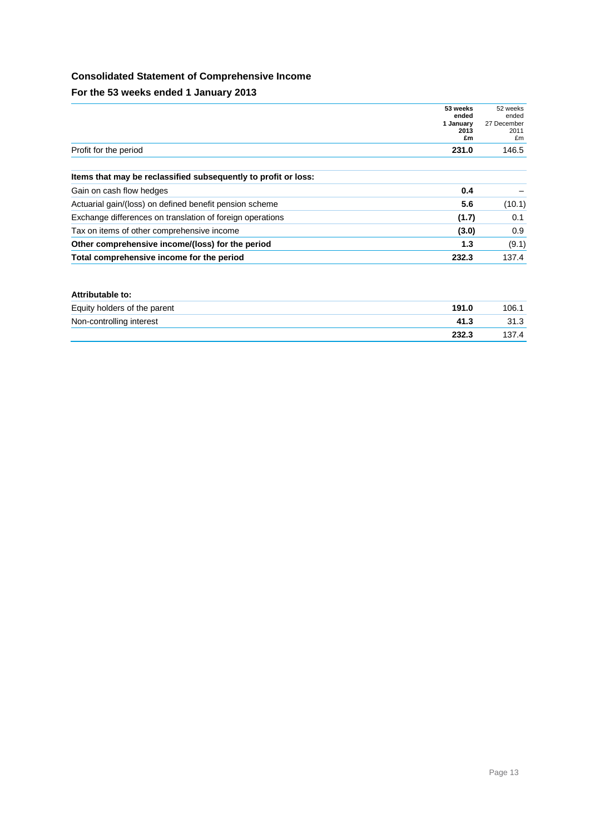## **Consolidated Statement of Comprehensive Income**

**For the 53 weeks ended 1 January 2013**

|                                                                | 53 weeks<br>ended<br>1 January<br>2013<br>£m | 52 weeks<br>ended<br>27 December<br>2011<br>£m |
|----------------------------------------------------------------|----------------------------------------------|------------------------------------------------|
| Profit for the period                                          | 231.0                                        | 146.5                                          |
| Items that may be reclassified subsequently to profit or loss: |                                              |                                                |
| Gain on cash flow hedges                                       | 0.4                                          |                                                |
| Actuarial gain/(loss) on defined benefit pension scheme        | 5.6                                          | (10.1)                                         |
| Exchange differences on translation of foreign operations      | (1.7)                                        | 0.1                                            |
| Tax on items of other comprehensive income                     | (3.0)                                        | 0.9                                            |
| Other comprehensive income/(loss) for the period               | 1.3                                          | (9.1)                                          |
| Total comprehensive income for the period                      | 232.3                                        | 137.4                                          |

#### **Attributable to:**

| Equity holders of the parent | 191.0 | 106.  |
|------------------------------|-------|-------|
| Non-controlling interest     | 41.3  | 31.3  |
|                              | 232.3 | 137.4 |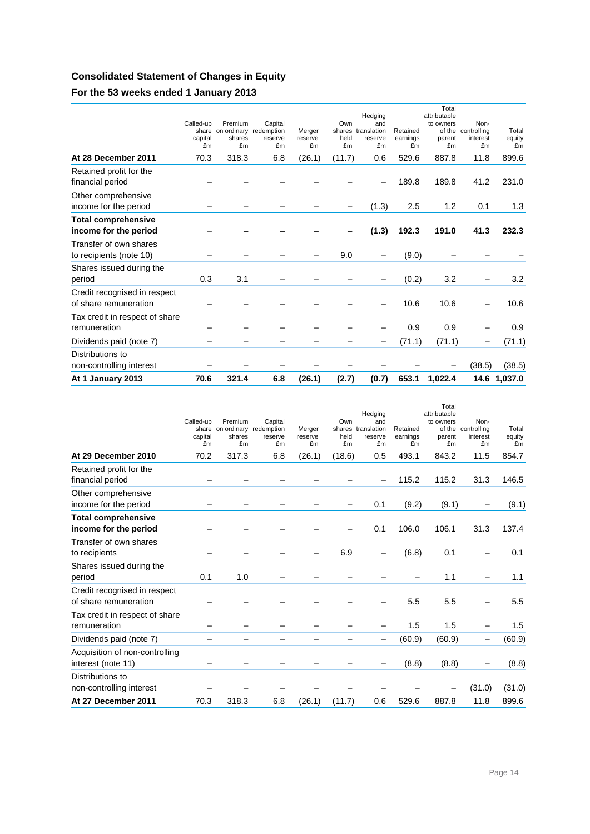# **Consolidated Statement of Changes in Equity**

# **For the 53 weeks ended 1 January 2013**

| At 1 January 2013                                     | 70.6                       | 321.4                                                   | 6.8                      | (26.1)                  | (2.7)             | (0.7)                                                 | 653.1                      | 1,022.4                                                      | 14.6                                  | 1,037.0               |
|-------------------------------------------------------|----------------------------|---------------------------------------------------------|--------------------------|-------------------------|-------------------|-------------------------------------------------------|----------------------------|--------------------------------------------------------------|---------------------------------------|-----------------------|
| Distributions to<br>non-controlling interest          |                            |                                                         |                          |                         |                   |                                                       |                            |                                                              | (38.5)                                | (38.5)                |
| Dividends paid (note 7)                               |                            |                                                         |                          |                         |                   |                                                       | (71.1)                     | (71.1)                                                       | -                                     | (71.1)                |
| Tax credit in respect of share<br>remuneration        |                            |                                                         |                          |                         |                   |                                                       | 0.9                        | 0.9                                                          |                                       | 0.9                   |
| Credit recognised in respect<br>of share remuneration |                            |                                                         |                          |                         |                   |                                                       | 10.6                       | 10.6                                                         |                                       | 10.6                  |
| Shares issued during the<br>period                    | 0.3                        | 3.1                                                     |                          |                         |                   |                                                       | (0.2)                      | 3.2                                                          |                                       | 3.2                   |
| Transfer of own shares<br>to recipients (note 10)     |                            |                                                         |                          |                         | 9.0               |                                                       | (9.0)                      |                                                              |                                       |                       |
| <b>Total comprehensive</b><br>income for the period   |                            |                                                         |                          |                         |                   | (1.3)                                                 | 192.3                      | 191.0                                                        | 41.3                                  | 232.3                 |
| Other comprehensive<br>income for the period          |                            |                                                         |                          |                         |                   | (1.3)                                                 | 2.5                        | 1.2                                                          | 0.1                                   | 1.3                   |
| Retained profit for the<br>financial period           |                            |                                                         |                          |                         |                   |                                                       | 189.8                      | 189.8                                                        | 41.2                                  | 231.0                 |
| At 28 December 2011                                   | 70.3                       | 318.3                                                   | 6.8                      | (26.1)                  | (11.7)            | 0.6                                                   | 529.6                      | 887.8                                                        | 11.8                                  | 899.6                 |
|                                                       | Called-up<br>capital<br>£m | Premium<br>share on ordinary redemption<br>shares<br>£m | Capital<br>reserve<br>£m | Merger<br>reserve<br>£m | Own<br>held<br>£m | Hedging<br>and<br>shares translation<br>reserve<br>£m | Retained<br>earnings<br>£m | Total<br>attributable<br>to owners<br>of the<br>parent<br>£m | Non-<br>controlling<br>interest<br>£m | Total<br>equity<br>£m |

|                                                       | Called-up     | Premium                                      | Capital       |                         | Own        | Hedging<br>and                      |                            | Total<br>attributable<br>to owners | Non-                          |                       |
|-------------------------------------------------------|---------------|----------------------------------------------|---------------|-------------------------|------------|-------------------------------------|----------------------------|------------------------------------|-------------------------------|-----------------------|
|                                                       | capital<br>£m | share on ordinary redemption<br>shares<br>£m | reserve<br>£m | Merger<br>reserve<br>£m | held<br>£m | shares translation<br>reserve<br>£m | Retained<br>earnings<br>£m | of the<br>parent<br>£m             | controlling<br>interest<br>£m | Total<br>equity<br>£m |
| At 29 December 2010                                   | 70.2          | 317.3                                        | 6.8           | (26.1)                  | (18.6)     | 0.5                                 | 493.1                      | 843.2                              | 11.5                          | 854.7                 |
| Retained profit for the<br>financial period           |               |                                              |               |                         |            |                                     | 115.2                      | 115.2                              | 31.3                          | 146.5                 |
| Other comprehensive<br>income for the period          |               |                                              |               |                         |            | 0.1                                 | (9.2)                      | (9.1)                              |                               | (9.1)                 |
| <b>Total comprehensive</b><br>income for the period   |               |                                              |               |                         |            | 0.1                                 | 106.0                      | 106.1                              | 31.3                          | 137.4                 |
| Transfer of own shares<br>to recipients               |               |                                              |               |                         | 6.9        |                                     | (6.8)                      | 0.1                                |                               | 0.1                   |
| Shares issued during the<br>period                    | 0.1           | 1.0                                          |               |                         |            |                                     |                            | 1.1                                |                               | 1.1                   |
| Credit recognised in respect<br>of share remuneration |               |                                              |               |                         |            |                                     | 5.5                        | 5.5                                |                               | 5.5                   |
| Tax credit in respect of share<br>remuneration        |               |                                              |               |                         |            |                                     | 1.5                        | 1.5                                |                               | 1.5                   |
| Dividends paid (note 7)                               |               |                                              |               |                         |            |                                     | (60.9)                     | (60.9)                             | -                             | (60.9)                |
| Acquisition of non-controlling<br>interest (note 11)  |               |                                              |               |                         |            |                                     | (8.8)                      | (8.8)                              |                               | (8.8)                 |
| Distributions to<br>non-controlling interest          |               |                                              |               |                         |            |                                     |                            |                                    | (31.0)                        | (31.0)                |
| At 27 December 2011                                   | 70.3          | 318.3                                        | 6.8           | (26.1)                  | (11.7)     | 0.6                                 | 529.6                      | 887.8                              | 11.8                          | 899.6                 |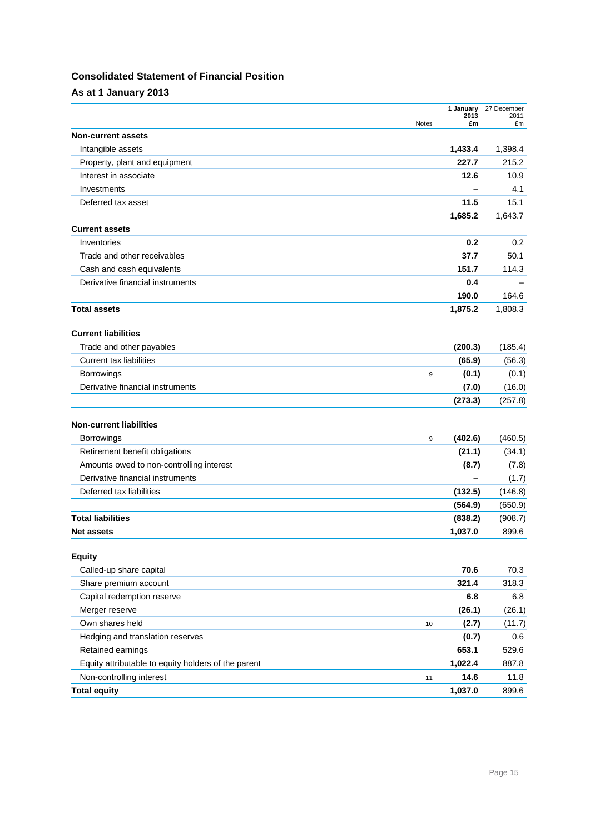## **Consolidated Statement of Financial Position**

**As at 1 January 2013**

|                                                     | Notes | 1 January<br>2013<br>£m | 27 December<br>2011<br>£m |
|-----------------------------------------------------|-------|-------------------------|---------------------------|
| <b>Non-current assets</b>                           |       |                         |                           |
| Intangible assets                                   |       | 1,433.4                 | 1,398.4                   |
| Property, plant and equipment                       |       | 227.7                   | 215.2                     |
| Interest in associate                               |       | 12.6                    | 10.9                      |
| Investments                                         |       |                         | 4.1                       |
| Deferred tax asset                                  |       | 11.5                    | 15.1                      |
|                                                     |       | 1,685.2                 | 1,643.7                   |
| <b>Current assets</b>                               |       |                         |                           |
| Inventories                                         |       | 0.2                     | 0.2                       |
| Trade and other receivables                         |       | 37.7                    | 50.1                      |
| Cash and cash equivalents                           |       | 151.7                   | 114.3                     |
| Derivative financial instruments                    |       | 0.4                     |                           |
|                                                     |       | 190.0                   | 164.6                     |
| <b>Total assets</b>                                 |       | 1,875.2                 | 1,808.3                   |
| <b>Current liabilities</b>                          |       |                         |                           |
| Trade and other payables                            |       | (200.3)                 | (185.4)                   |
| <b>Current tax liabilities</b>                      |       | (65.9)                  | (56.3)                    |
| <b>Borrowings</b>                                   | 9     | (0.1)                   | (0.1)                     |
| Derivative financial instruments                    |       | (7.0)                   | (16.0)                    |
|                                                     |       | (273.3)                 | (257.8)                   |
| <b>Non-current liabilities</b>                      |       |                         |                           |
| <b>Borrowings</b>                                   | 9     | (402.6)                 | (460.5)                   |
| Retirement benefit obligations                      |       | (21.1)                  | (34.1)                    |
| Amounts owed to non-controlling interest            |       | (8.7)                   | (7.8)                     |
| Derivative financial instruments                    |       |                         | (1.7)                     |
| Deferred tax liabilities                            |       | (132.5)                 | (146.8)                   |
|                                                     |       | (564.9)                 | (650.9)                   |
| <b>Total liabilities</b>                            |       | (838.2)                 | (908.7)                   |
| <b>Net assets</b>                                   |       | 1,037.0                 | 899.6                     |
| <b>Equity</b>                                       |       |                         |                           |
| Called-up share capital                             |       | 70.6                    | 70.3                      |
| Share premium account                               |       | 321.4                   | 318.3                     |
| Capital redemption reserve                          |       | 6.8                     | 6.8                       |
| Merger reserve                                      |       | (26.1)                  | (26.1)                    |
| Own shares held                                     | 10    | (2.7)                   | (11.7)                    |
| Hedging and translation reserves                    |       | (0.7)                   | 0.6                       |
| Retained earnings                                   |       | 653.1                   | 529.6                     |
| Equity attributable to equity holders of the parent |       | 1,022.4                 | 887.8                     |
| Non-controlling interest                            | 11    | 14.6                    | 11.8                      |
| <b>Total equity</b>                                 |       | 1,037.0                 | 899.6                     |
|                                                     |       |                         |                           |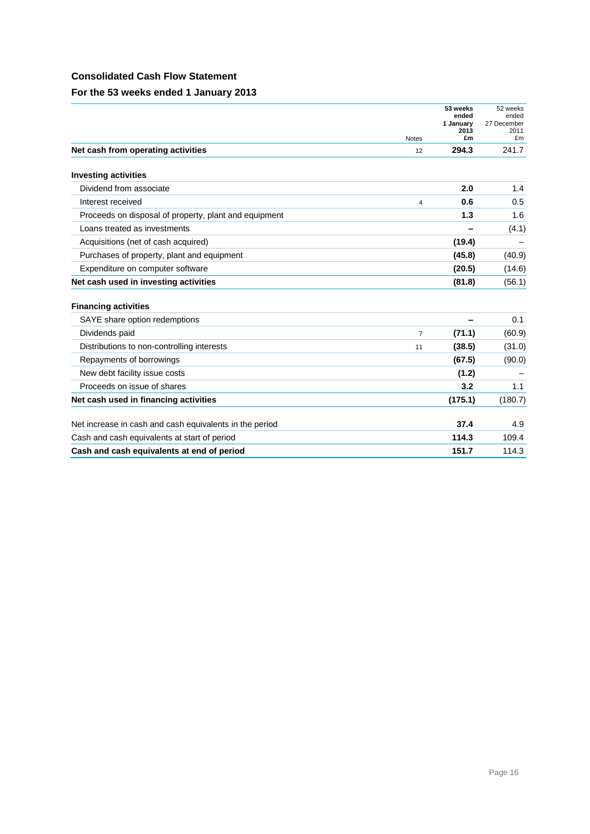## **Consolidated Cash Flow Statement**

**For the 53 weeks ended 1 January 2013**

|                                                         |                | 53 weeks           | 52 weeks             |
|---------------------------------------------------------|----------------|--------------------|----------------------|
|                                                         |                | ended<br>1 January | ended<br>27 December |
|                                                         | <b>Notes</b>   | 2013<br>£m         | 2011<br>£m           |
| Net cash from operating activities                      | 12             | 294.3              | 241.7                |
| <b>Investing activities</b>                             |                |                    |                      |
| Dividend from associate                                 |                | 2.0                | 1.4                  |
| Interest received                                       | $\overline{4}$ | 0.6                | 0.5                  |
| Proceeds on disposal of property, plant and equipment   |                | 1.3                | 1.6                  |
| Loans treated as investments                            |                |                    | (4.1)                |
| Acquisitions (net of cash acquired)                     |                | (19.4)             |                      |
| Purchases of property, plant and equipment              |                | (45.8)             | (40.9)               |
| Expenditure on computer software                        |                | (20.5)             | (14.6)               |
| Net cash used in investing activities                   |                | (81.8)             | (56.1)               |
|                                                         |                |                    |                      |
| <b>Financing activities</b>                             |                |                    |                      |
| SAYE share option redemptions                           |                |                    | 0.1                  |
| Dividends paid                                          | $\overline{7}$ | (71.1)             | (60.9)               |
| Distributions to non-controlling interests              | 11             | (38.5)             | (31.0)               |
| Repayments of borrowings                                |                | (67.5)             | (90.0)               |
| New debt facility issue costs                           |                | (1.2)              |                      |
| Proceeds on issue of shares                             |                | 3.2                | 1.1                  |
| Net cash used in financing activities                   |                | (175.1)            | (180.7)              |
| Net increase in cash and cash equivalents in the period |                | 37.4               | 4.9                  |
| Cash and cash equivalents at start of period            |                | 114.3              | 109.4                |
| Cash and cash equivalents at end of period              |                | 151.7              | 114.3                |
|                                                         |                |                    |                      |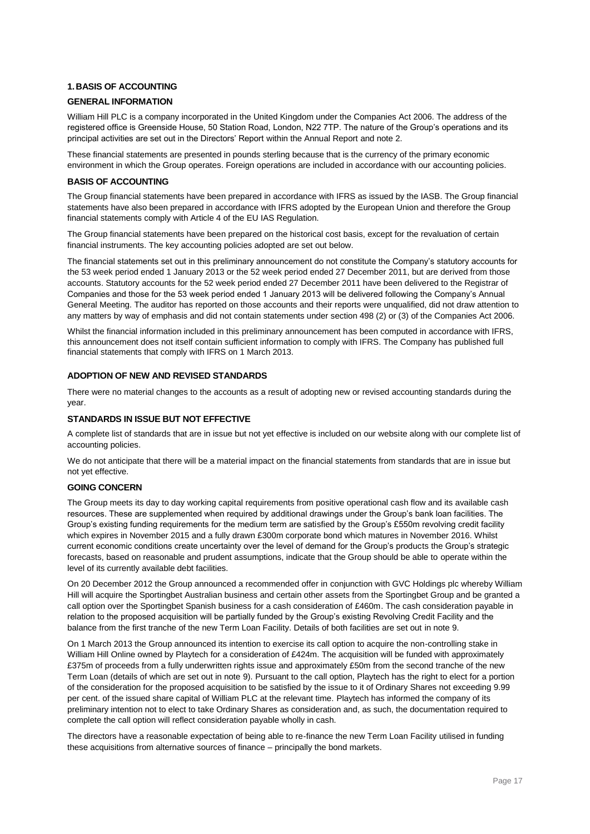## **1.BASIS OF ACCOUNTING**

#### **GENERAL INFORMATION**

William Hill PLC is a company incorporated in the United Kingdom under the Companies Act 2006. The address of the registered office is Greenside House, 50 Station Road, London, N22 7TP. The nature of the Group's operations and its principal activities are set out in the Directors' Report within the Annual Report and note 2.

These financial statements are presented in pounds sterling because that is the currency of the primary economic environment in which the Group operates. Foreign operations are included in accordance with our accounting policies.

#### **BASIS OF ACCOUNTING**

The Group financial statements have been prepared in accordance with IFRS as issued by the IASB. The Group financial statements have also been prepared in accordance with IFRS adopted by the European Union and therefore the Group financial statements comply with Article 4 of the EU IAS Regulation.

The Group financial statements have been prepared on the historical cost basis, except for the revaluation of certain financial instruments. The key accounting policies adopted are set out below.

The financial statements set out in this preliminary announcement do not constitute the Company's statutory accounts for the 53 week period ended 1 January 2013 or the 52 week period ended 27 December 2011, but are derived from those accounts. Statutory accounts for the 52 week period ended 27 December 2011 have been delivered to the Registrar of Companies and those for the 53 week period ended 1 January 2013 will be delivered following the Company's Annual General Meeting. The auditor has reported on those accounts and their reports were unqualified, did not draw attention to any matters by way of emphasis and did not contain statements under section 498 (2) or (3) of the Companies Act 2006.

Whilst the financial information included in this preliminary announcement has been computed in accordance with IFRS, this announcement does not itself contain sufficient information to comply with IFRS. The Company has published full financial statements that comply with IFRS on 1 March 2013.

### **ADOPTION OF NEW AND REVISED STANDARDS**

There were no material changes to the accounts as a result of adopting new or revised accounting standards during the year.

#### **STANDARDS IN ISSUE BUT NOT EFFECTIVE**

A complete list of standards that are in issue but not yet effective is included on our website along with our complete list of accounting policies.

We do not anticipate that there will be a material impact on the financial statements from standards that are in issue but not yet effective.

### **GOING CONCERN**

The Group meets its day to day working capital requirements from positive operational cash flow and its available cash resources. These are supplemented when required by additional drawings under the Group's bank loan facilities. The Group's existing funding requirements for the medium term are satisfied by the Group's £550m revolving credit facility which expires in November 2015 and a fully drawn £300m corporate bond which matures in November 2016. Whilst current economic conditions create uncertainty over the level of demand for the Group's products the Group's strategic forecasts, based on reasonable and prudent assumptions, indicate that the Group should be able to operate within the level of its currently available debt facilities.

On 20 December 2012 the Group announced a recommended offer in conjunction with GVC Holdings plc whereby William Hill will acquire the Sportingbet Australian business and certain other assets from the Sportingbet Group and be granted a call option over the Sportingbet Spanish business for a cash consideration of £460m. The cash consideration payable in relation to the proposed acquisition will be partially funded by the Group's existing Revolving Credit Facility and the balance from the first tranche of the new Term Loan Facility. Details of both facilities are set out in note 9.

On 1 March 2013 the Group announced its intention to exercise its call option to acquire the non-controlling stake in William Hill Online owned by Playtech for a consideration of £424m. The acquisition will be funded with approximately £375m of proceeds from a fully underwritten rights issue and approximately £50m from the second tranche of the new Term Loan (details of which are set out in note 9). Pursuant to the call option, Playtech has the right to elect for a portion of the consideration for the proposed acquisition to be satisfied by the issue to it of Ordinary Shares not exceeding 9.99 per cent. of the issued share capital of William PLC at the relevant time. Playtech has informed the company of its preliminary intention not to elect to take Ordinary Shares as consideration and, as such, the documentation required to complete the call option will reflect consideration payable wholly in cash.

The directors have a reasonable expectation of being able to re-finance the new Term Loan Facility utilised in funding these acquisitions from alternative sources of finance – principally the bond markets.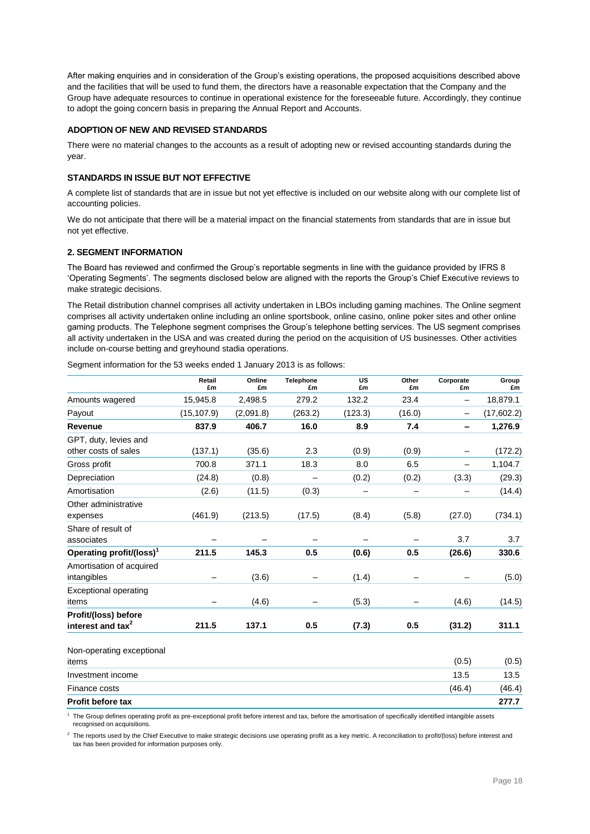After making enquiries and in consideration of the Group's existing operations, the proposed acquisitions described above and the facilities that will be used to fund them, the directors have a reasonable expectation that the Company and the Group have adequate resources to continue in operational existence for the foreseeable future. Accordingly, they continue to adopt the going concern basis in preparing the Annual Report and Accounts.

### **ADOPTION OF NEW AND REVISED STANDARDS**

There were no material changes to the accounts as a result of adopting new or revised accounting standards during the year.

### **STANDARDS IN ISSUE BUT NOT EFFECTIVE**

A complete list of standards that are in issue but not yet effective is included on our website along with our complete list of accounting policies.

We do not anticipate that there will be a material impact on the financial statements from standards that are in issue but not yet effective.

#### **2. SEGMENT INFORMATION**

The Board has reviewed and confirmed the Group's reportable segments in line with the guidance provided by IFRS 8 'Operating Segments'. The segments disclosed below are aligned with the reports the Group's Chief Executive reviews to make strategic decisions.

The Retail distribution channel comprises all activity undertaken in LBOs including gaming machines. The Online segment comprises all activity undertaken online including an online sportsbook, online casino, online poker sites and other online gaming products. The Telephone segment comprises the Group's telephone betting services. The US segment comprises all activity undertaken in the USA and was created during the period on the acquisition of US businesses. Other activities include on-course betting and greyhound stadia operations.

Segment information for the 53 weeks ended 1 January 2013 is as follows:

|                                                       | Retail<br>£m | Online<br>£m | <b>Telephone</b><br>£m | US<br>£m | Other<br>£m | Corporate<br>£m          | Group<br>£m |
|-------------------------------------------------------|--------------|--------------|------------------------|----------|-------------|--------------------------|-------------|
| Amounts wagered                                       | 15,945.8     | 2,498.5      | 279.2                  | 132.2    | 23.4        | $\overline{\phantom{0}}$ | 18,879.1    |
| Payout                                                | (15, 107.9)  | (2,091.8)    | (263.2)                | (123.3)  | (16.0)      | $\overline{\phantom{m}}$ | (17,602.2)  |
| Revenue                                               | 837.9        | 406.7        | 16.0                   | 8.9      | 7.4         | -                        | 1,276.9     |
| GPT, duty, levies and                                 |              |              |                        |          |             |                          |             |
| other costs of sales                                  | (137.1)      | (35.6)       | 2.3                    | (0.9)    | (0.9)       |                          | (172.2)     |
| Gross profit                                          | 700.8        | 371.1        | 18.3                   | 8.0      | 6.5         |                          | 1,104.7     |
| Depreciation                                          | (24.8)       | (0.8)        |                        | (0.2)    | (0.2)       | (3.3)                    | (29.3)      |
| Amortisation                                          | (2.6)        | (11.5)       | (0.3)                  |          |             |                          | (14.4)      |
| Other administrative<br>expenses                      | (461.9)      | (213.5)      | (17.5)                 | (8.4)    | (5.8)       | (27.0)                   | (734.1)     |
| Share of result of<br>associates                      |              |              |                        |          |             | 3.7                      | 3.7         |
| Operating profit/(loss) <sup>1</sup>                  | 211.5        | 145.3        | 0.5                    | (0.6)    | 0.5         | (26.6)                   | 330.6       |
| Amortisation of acquired<br>intangibles               |              | (3.6)        |                        | (1.4)    |             |                          | (5.0)       |
| <b>Exceptional operating</b><br>items                 |              | (4.6)        |                        | (5.3)    |             | (4.6)                    | (14.5)      |
| Profit/(loss) before<br>interest and tax <sup>2</sup> | 211.5        | 137.1        | 0.5                    | (7.3)    | 0.5         | (31.2)                   | 311.1       |
| Non-operating exceptional<br>items                    |              |              |                        |          |             | (0.5)                    | (0.5)       |
| Investment income                                     |              |              |                        |          |             | 13.5                     | 13.5        |
| Finance costs                                         |              |              |                        |          |             | (46.4)                   | (46.4)      |
| <b>Profit before tax</b>                              |              |              |                        |          |             |                          | 277.7       |

<sup>1</sup> The Group defines operating profit as pre-exceptional profit before interest and tax, before the amortisation of specifically identified intangible assets recognised on acquisitions.

 $^2$  The reports used by the Chief Executive to make strategic decisions use operating profit as a key metric. A reconciliation to profit/(loss) before interest and tax has been provided for information purposes only.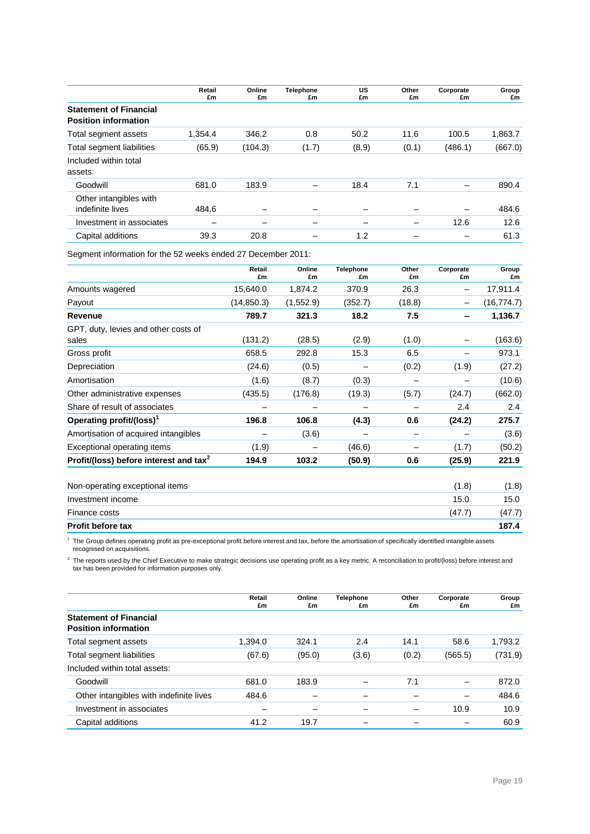|                                                              | Retail<br>£m | Online<br>£m | <b>Telephone</b><br>£m | <b>US</b><br>£m | Other<br>£m | Corporate<br>£m          | Group<br>£m |
|--------------------------------------------------------------|--------------|--------------|------------------------|-----------------|-------------|--------------------------|-------------|
| <b>Statement of Financial</b><br><b>Position information</b> |              |              |                        |                 |             |                          |             |
| Total segment assets                                         | 1.354.4      | 346.2        | 0.8                    | 50.2            | 11.6        | 100.5                    | 1.863.7     |
| Total segment liabilities                                    | (65.9)       | (104.3)      | (1.7)                  | (8.9)           | (0.1)       | (486.1)                  | (667.0)     |
| Included within total<br>assets:                             |              |              |                        |                 |             |                          |             |
| Goodwill                                                     | 681.0        | 183.9        |                        | 18.4            | 7.1         |                          | 890.4       |
| Other intangibles with<br>indefinite lives                   | 484.6        | -            |                        |                 |             | $\overline{\phantom{0}}$ | 484.6       |
| Investment in associates                                     |              | -            |                        |                 |             | 12.6                     | 12.6        |
| Capital additions                                            | 39.3         | 20.8         |                        | 1.2             |             |                          | 61.3        |

Segment information for the 52 weeks ended 27 December 2011:

|                                                    | Retail<br>£m | Online<br>£m | <b>Telephone</b><br>£m | Other<br>£m              | Corporate<br>£m | Group<br>£m |
|----------------------------------------------------|--------------|--------------|------------------------|--------------------------|-----------------|-------------|
| Amounts wagered                                    | 15,640.0     | 1,874.2      | 370.9                  | 26.3                     | -               | 17,911.4    |
| Payout                                             | (14, 850.3)  | (1,552.9)    | (352.7)                | (18.8)                   | -               | (16, 774.7) |
| Revenue                                            | 789.7        | 321.3        | 18.2                   | 7.5                      | -               | 1,136.7     |
| GPT, duty, levies and other costs of               |              |              |                        |                          |                 |             |
| sales                                              | (131.2)      | (28.5)       | (2.9)                  | (1.0)                    |                 | (163.6)     |
| Gross profit                                       | 658.5        | 292.8        | 15.3                   | 6.5                      |                 | 973.1       |
| Depreciation                                       | (24.6)       | (0.5)        |                        | (0.2)                    | (1.9)           | (27.2)      |
| Amortisation                                       | (1.6)        | (8.7)        | (0.3)                  |                          |                 | (10.6)      |
| Other administrative expenses                      | (435.5)      | (176.8)      | (19.3)                 | (5.7)                    | (24.7)          | (662.0)     |
| Share of result of associates                      | -            | -            |                        | $\overline{\phantom{m}}$ | 2.4             | 2.4         |
| Operating profit/(loss) <sup>1</sup>               | 196.8        | 106.8        | (4.3)                  | 0.6                      | (24.2)          | 275.7       |
| Amortisation of acquired intangibles               |              | (3.6)        |                        | -                        |                 | (3.6)       |
| Exceptional operating items                        | (1.9)        |              | (46.6)                 |                          | (1.7)           | (50.2)      |
| Profit/(loss) before interest and tax <sup>2</sup> | 194.9        | 103.2        | (50.9)                 | 0.6                      | (25.9)          | 221.9       |
| Non-operating exceptional items                    |              |              |                        |                          | (1.8)           | (1.8)       |
| Investment income                                  |              |              |                        |                          | 15.0            | 15.0        |
| Finance costs                                      |              |              |                        |                          | (47.7)          | (47.7)      |

**Profit before tax 187.4** <sup>1</sup> The Group defines operating profit as pre-exceptional profit before interest and tax, before the amortisation of specifically identified intangible assets recognised on acquisitions.

 $^2$  The reports used by the Chief Executive to make strategic decisions use operating profit as a key metric. A reconciliation to profit/(loss) before interest and tax has been provided for information purposes only.

|                                                              | Retail<br>£m | Online<br>£m | <b>Telephone</b><br>£m | Other<br>£m | Corporate<br>£m | Group<br>£m |
|--------------------------------------------------------------|--------------|--------------|------------------------|-------------|-----------------|-------------|
| <b>Statement of Financial</b><br><b>Position information</b> |              |              |                        |             |                 |             |
| Total segment assets                                         | 1.394.0      | 324.1        | 2.4                    | 14.1        | 58.6            | 1,793.2     |
| Total segment liabilities                                    | (67.6)       | (95.0)       | (3.6)                  | (0.2)       | (565.5)         | (731.9)     |
| Included within total assets:                                |              |              |                        |             |                 |             |
| Goodwill                                                     | 681.0        | 183.9        |                        | 7.1         |                 | 872.0       |
| Other intangibles with indefinite lives                      | 484.6        |              |                        |             | -               | 484.6       |
| Investment in associates                                     | –            |              |                        |             | 10.9            | 10.9        |
| Capital additions                                            | 41.2         | 19.7         |                        |             |                 | 60.9        |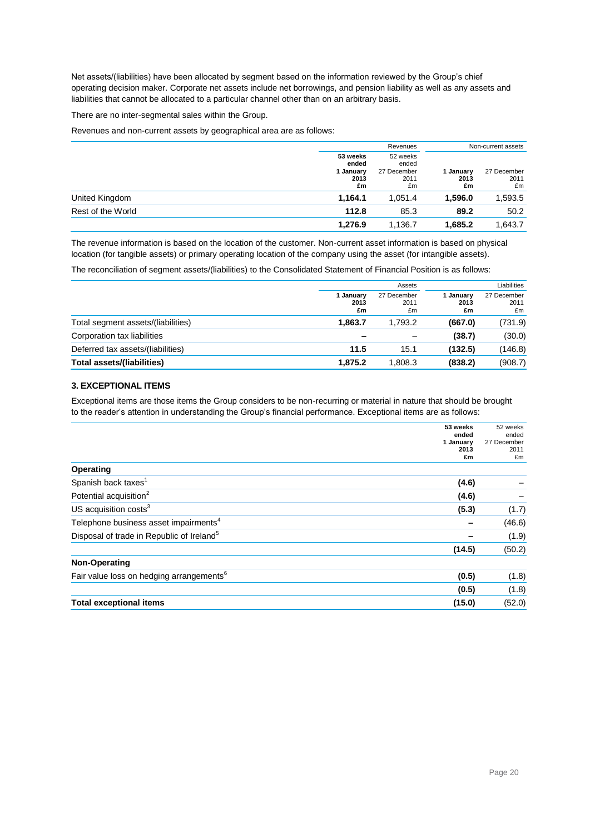Net assets/(liabilities) have been allocated by segment based on the information reviewed by the Group's chief operating decision maker. Corporate net assets include net borrowings, and pension liability as well as any assets and liabilities that cannot be allocated to a particular channel other than on an arbitrary basis.

There are no inter-segmental sales within the Group.

Revenues and non-current assets by geographical area are as follows:

|                   | Revenues                                   |                                                |                         | Non-current assets        |
|-------------------|--------------------------------------------|------------------------------------------------|-------------------------|---------------------------|
|                   | 53 weeks<br>ended<br>January<br>2013<br>£m | 52 weeks<br>ended<br>27 December<br>2011<br>£m | 1 January<br>2013<br>£m | 27 December<br>2011<br>£m |
| United Kingdom    | 1,164.1                                    | 1.051.4                                        | 1,596.0                 | 1,593.5                   |
| Rest of the World | 112.8                                      | 85.3                                           | 89.2                    | 50.2                      |
|                   | 1,276.9                                    | 1,136.7                                        | 1,685.2                 | 1,643.7                   |

The revenue information is based on the location of the customer. Non-current asset information is based on physical location (for tangible assets) or primary operating location of the company using the asset (for intangible assets).

The reconciliation of segment assets/(liabilities) to the Consolidated Statement of Financial Position is as follows:

|                                    |                         | Assets                    |                         | Liabilities               |  |
|------------------------------------|-------------------------|---------------------------|-------------------------|---------------------------|--|
|                                    | 1 January<br>2013<br>£m | 27 December<br>2011<br>£m | I January<br>2013<br>£m | 27 December<br>2011<br>£m |  |
| Total segment assets/(liabilities) | 1.863.7                 | 1.793.2                   | (667.0)                 | (731.9)                   |  |
| Corporation tax liabilities        |                         |                           | (38.7)                  | (30.0)                    |  |
| Deferred tax assets/(liabilities)  | 11.5                    | 15.1                      | (132.5)                 | (146.8)                   |  |
| Total assets/(liabilities)         | 1.875.2                 | 1,808.3                   | (838.2)                 | (908.7)                   |  |

### **3. EXCEPTIONAL ITEMS**

Exceptional items are those items the Group considers to be non-recurring or material in nature that should be brought to the reader's attention in understanding the Group's financial performance. Exceptional items are as follows:

|                                                       | 53 weeks<br>ended | 52 weeks<br>ended   |
|-------------------------------------------------------|-------------------|---------------------|
|                                                       | 1 January<br>2013 | 27 December<br>2011 |
|                                                       | £m                | £m                  |
| Operating                                             |                   |                     |
| Spanish back taxes <sup>1</sup>                       | (4.6)             |                     |
| Potential acquisition <sup>2</sup>                    | (4.6)             |                     |
| US acquisition costs <sup>3</sup>                     | (5.3)             | (1.7)               |
| Telephone business asset impairments <sup>4</sup>     |                   | (46.6)              |
| Disposal of trade in Republic of Ireland <sup>5</sup> |                   | (1.9)               |
|                                                       | (14.5)            | (50.2)              |
| Non-Operating                                         |                   |                     |
| Fair value loss on hedging arrangements <sup>6</sup>  | (0.5)             | (1.8)               |
|                                                       | (0.5)             | (1.8)               |
| <b>Total exceptional items</b>                        | (15.0)            | (52.0)              |
|                                                       |                   |                     |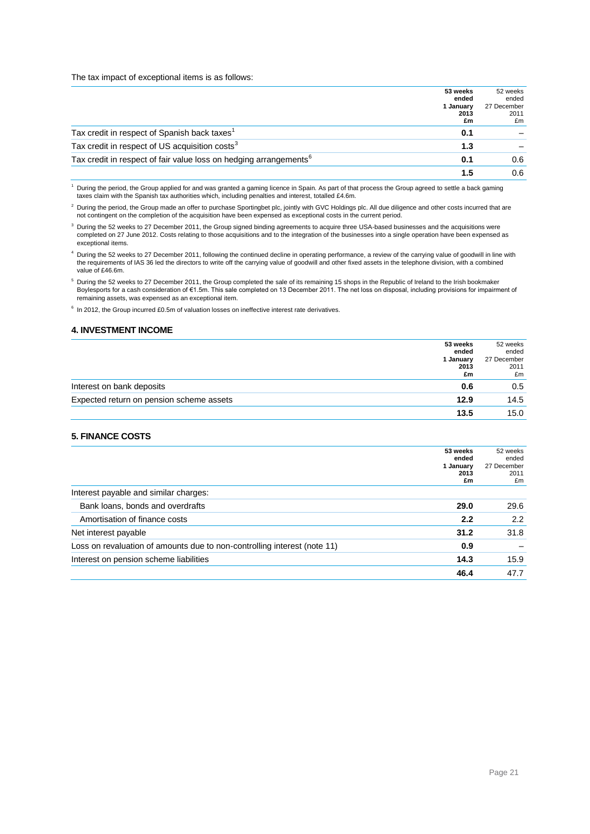#### The tax impact of exceptional items is as follows:

|                                                                               | 53 weeks<br>ended       | 52 weeks<br>ended         |
|-------------------------------------------------------------------------------|-------------------------|---------------------------|
|                                                                               | 1 January<br>2013<br>£m | 27 December<br>2011<br>£m |
| Tax credit in respect of Spanish back taxes <sup>1</sup>                      | 0.1                     |                           |
| Tax credit in respect of US acquisition costs <sup>3</sup>                    | 1.3                     |                           |
| Tax credit in respect of fair value loss on hedging arrangements <sup>6</sup> | 0.1                     | 0.6                       |
|                                                                               | 1.5                     | 0.6                       |

<sup>1</sup> During the period, the Group applied for and was granted a gaming licence in Spain. As part of that process the Group agreed to settle a back gaming taxes claim with the Spanish tax authorities which, including penalties and interest, totalled £4.6m.

<sup>2</sup> During the period, the Group made an offer to purchase Sportingbet plc, jointly with GVC Holdings plc. All due diligence and other costs incurred that are not contingent on the completion of the acquisition have been expensed as exceptional costs in the current period.

<sup>3</sup> During the 52 weeks to 27 December 2011, the Group signed binding agreements to acquire three USA-based businesses and the acquisitions were completed on 27 June 2012. Costs relating to those acquisitions and to the integration of the businesses into a single operation have been expensed as exceptional items.

<sup>4</sup> During the 52 weeks to 27 December 2011, following the continued decline in operating performance, a review of the carrying value of goodwill in line with the requirements of IAS 36 led the directors to write off the carrying value of goodwill and other fixed assets in the telephone division, with a combined value of £46.6m.

5 During the 52 weeks to 27 December 2011, the Group completed the sale of its remaining 15 shops in the Republic of Ireland to the Irish bookmaker<br>Boylesports for a cash consideration of €1.5m. This sale completed on 13 remaining assets, was expensed as an exceptional item.

<sup>6</sup> In 2012, the Group incurred £0.5m of valuation losses on ineffective interest rate derivatives.

## **4. INVESTMENT INCOME**

|                                          | 53 weeks<br>ended       | 52 weeks<br>ended         |
|------------------------------------------|-------------------------|---------------------------|
|                                          | 1 January<br>2013<br>£m | 27 December<br>2011<br>£m |
| Interest on bank deposits                | 0.6                     | 0.5                       |
| Expected return on pension scheme assets | 12.9                    | 14.5                      |
|                                          | 13.5                    | 15.0                      |

#### **5. FINANCE COSTS**

|                                                                          | 53 weeks<br>ended<br>1 January<br>2013<br>£m | 52 weeks<br>ended<br>27 December<br>2011<br>£m |
|--------------------------------------------------------------------------|----------------------------------------------|------------------------------------------------|
| Interest payable and similar charges:                                    |                                              |                                                |
| Bank loans, bonds and overdrafts                                         | 29.0                                         | 29.6                                           |
| Amortisation of finance costs                                            | 2.2                                          | 2.2                                            |
| Net interest payable                                                     | 31.2                                         | 31.8                                           |
| Loss on revaluation of amounts due to non-controlling interest (note 11) | 0.9                                          |                                                |
| Interest on pension scheme liabilities                                   | 14.3                                         | 15.9                                           |
|                                                                          | 46.4                                         | 47.7                                           |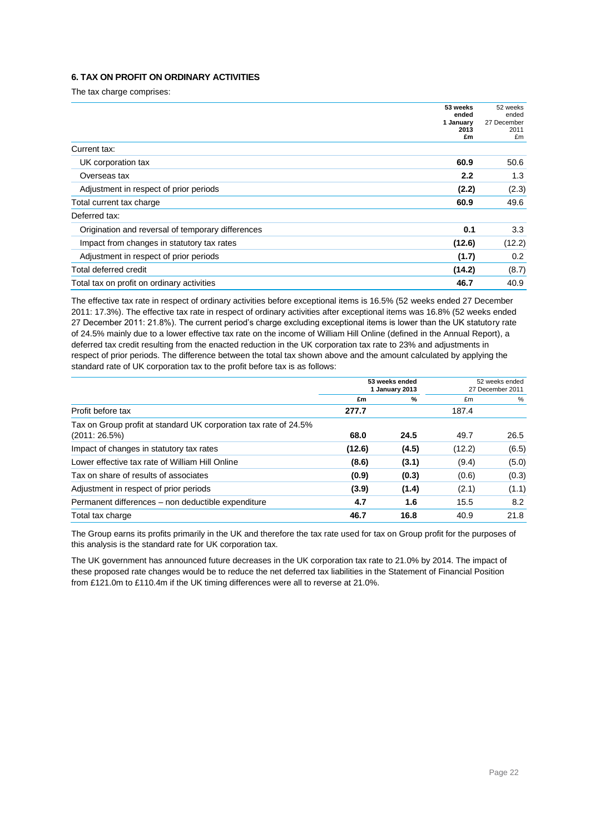## **6. TAX ON PROFIT ON ORDINARY ACTIVITIES**

The tax charge comprises:

|                                                   | 53 weeks<br>ended | 52 weeks<br>ended   |
|---------------------------------------------------|-------------------|---------------------|
|                                                   | 1 January<br>2013 | 27 December<br>2011 |
|                                                   | £m                | £m                  |
| Current tax:                                      |                   |                     |
| UK corporation tax                                | 60.9              | 50.6                |
| Overseas tax                                      | 2.2               | 1.3                 |
| Adjustment in respect of prior periods            | (2.2)             | (2.3)               |
| Total current tax charge                          | 60.9              | 49.6                |
| Deferred tax:                                     |                   |                     |
| Origination and reversal of temporary differences | 0.1               | 3.3                 |
| Impact from changes in statutory tax rates        | (12.6)            | (12.2)              |
| Adjustment in respect of prior periods            | (1.7)             | 0.2                 |
| Total deferred credit                             | (14.2)            | (8.7)               |
| Total tax on profit on ordinary activities        | 46.7              | 40.9                |

The effective tax rate in respect of ordinary activities before exceptional items is 16.5% (52 weeks ended 27 December 2011: 17.3%). The effective tax rate in respect of ordinary activities after exceptional items was 16.8% (52 weeks ended 27 December 2011: 21.8%). The current period's charge excluding exceptional items is lower than the UK statutory rate of 24.5% mainly due to a lower effective tax rate on the income of William Hill Online (defined in the Annual Report), a deferred tax credit resulting from the enacted reduction in the UK corporation tax rate to 23% and adjustments in respect of prior periods. The difference between the total tax shown above and the amount calculated by applying the standard rate of UK corporation tax to the profit before tax is as follows:

| 53 weeks ended<br>1 January 2013 |       | 52 weeks ended<br>27 December 2011 |       |
|----------------------------------|-------|------------------------------------|-------|
| £m                               | %     | £m                                 | %     |
| 277.7                            |       | 187.4                              |       |
| 68.0                             | 24.5  | 49.7                               | 26.5  |
| (12.6)                           | (4.5) | (12.2)                             | (6.5) |
| (8.6)                            | (3.1) | (9.4)                              | (5.0) |
| (0.9)                            | (0.3) | (0.6)                              | (0.3) |
| (3.9)                            | (1.4) | (2.1)                              | (1.1) |
| 4.7                              | 1.6   | 15.5                               | 8.2   |
| 46.7                             | 16.8  | 40.9                               | 21.8  |
|                                  |       |                                    |       |

The Group earns its profits primarily in the UK and therefore the tax rate used for tax on Group profit for the purposes of this analysis is the standard rate for UK corporation tax.

The UK government has announced future decreases in the UK corporation tax rate to 21.0% by 2014. The impact of these proposed rate changes would be to reduce the net deferred tax liabilities in the Statement of Financial Position from £121.0m to £110.4m if the UK timing differences were all to reverse at 21.0%.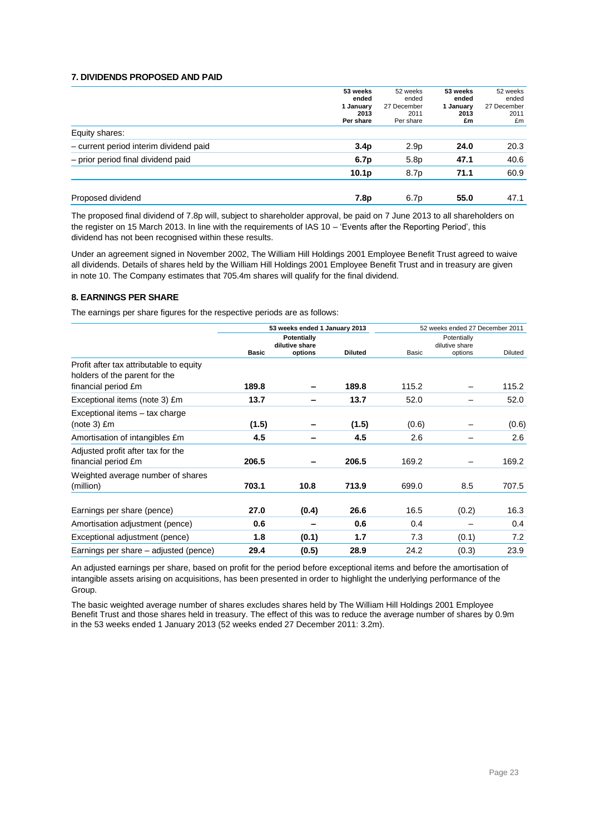## **7. DIVIDENDS PROPOSED AND PAID**

|                                        | 53 weeks<br>ended<br>1 January<br>2013<br>Per share | 52 weeks<br>ended<br>27 December<br>2011<br>Per share | 53 weeks<br>ended<br>1 January<br>2013<br>£m | 52 weeks<br>ended<br>27 December<br>2011<br>£m |
|----------------------------------------|-----------------------------------------------------|-------------------------------------------------------|----------------------------------------------|------------------------------------------------|
| Equity shares:                         |                                                     |                                                       |                                              |                                                |
| - current period interim dividend paid | 3.4 <sub>p</sub>                                    | 2.9 <sub>p</sub>                                      | 24.0                                         | 20.3                                           |
| - prior period final dividend paid     | 6.7p                                                | 5.8p                                                  | 47.1                                         | 40.6                                           |
|                                        | 10.1 <sub>p</sub>                                   | 8.7p                                                  | 71.1                                         | 60.9                                           |
|                                        |                                                     |                                                       |                                              |                                                |
| Proposed dividend                      | 7.8p                                                | 6.7p                                                  | 55.0                                         | 47.1                                           |

The proposed final dividend of 7.8p will, subject to shareholder approval, be paid on 7 June 2013 to all shareholders on the register on 15 March 2013. In line with the requirements of IAS 10 – 'Events after the Reporting Period', this dividend has not been recognised within these results.

Under an agreement signed in November 2002, The William Hill Holdings 2001 Employee Benefit Trust agreed to waive all dividends. Details of shares held by the William Hill Holdings 2001 Employee Benefit Trust and in treasury are given in note 10. The Company estimates that 705.4m shares will qualify for the final dividend.

## **8. EARNINGS PER SHARE**

The earnings per share figures for the respective periods are as follows:

|                                                                          | 53 weeks ended 1 January 2013 |         |                |       | 52 weeks ended 27 December 2011 |                |                               |  |
|--------------------------------------------------------------------------|-------------------------------|---------|----------------|-------|---------------------------------|----------------|-------------------------------|--|
|                                                                          | Potentially<br>dilutive share |         |                |       |                                 |                | Potentially<br>dilutive share |  |
|                                                                          | <b>Basic</b>                  | options | <b>Diluted</b> | Basic | options                         | <b>Diluted</b> |                               |  |
| Profit after tax attributable to equity<br>holders of the parent for the |                               |         |                |       |                                 |                |                               |  |
| financial period £m                                                      | 189.8                         |         | 189.8          | 115.2 |                                 | 115.2          |                               |  |
| Exceptional items (note 3) £m                                            | 13.7                          |         | 13.7           | 52.0  |                                 | 52.0           |                               |  |
| Exceptional items - tax charge                                           |                               |         |                |       |                                 |                |                               |  |
| $(note 3)$ $Em$                                                          | (1.5)                         |         | (1.5)          | (0.6) |                                 | (0.6)          |                               |  |
| Amortisation of intangibles £m                                           | 4.5                           |         | 4.5            | 2.6   |                                 | 2.6            |                               |  |
| Adjusted profit after tax for the                                        |                               |         |                |       |                                 |                |                               |  |
| financial period £m                                                      | 206.5                         |         | 206.5          | 169.2 |                                 | 169.2          |                               |  |
| Weighted average number of shares                                        |                               |         |                |       |                                 |                |                               |  |
| (million)                                                                | 703.1                         | 10.8    | 713.9          | 699.0 | 8.5                             | 707.5          |                               |  |
|                                                                          |                               |         |                |       |                                 |                |                               |  |
| Earnings per share (pence)                                               | 27.0                          | (0.4)   | 26.6           | 16.5  | (0.2)                           | 16.3           |                               |  |
| Amortisation adjustment (pence)                                          | 0.6                           |         | 0.6            | 0.4   |                                 | 0.4            |                               |  |
| Exceptional adjustment (pence)                                           | 1.8                           | (0.1)   | 1.7            | 7.3   | (0.1)                           | 7.2            |                               |  |
| Earnings per share – adjusted (pence)                                    | 29.4                          | (0.5)   | 28.9           | 24.2  | (0.3)                           | 23.9           |                               |  |

An adjusted earnings per share, based on profit for the period before exceptional items and before the amortisation of intangible assets arising on acquisitions, has been presented in order to highlight the underlying performance of the Group.

The basic weighted average number of shares excludes shares held by The William Hill Holdings 2001 Employee Benefit Trust and those shares held in treasury. The effect of this was to reduce the average number of shares by 0.9m in the 53 weeks ended 1 January 2013 (52 weeks ended 27 December 2011: 3.2m).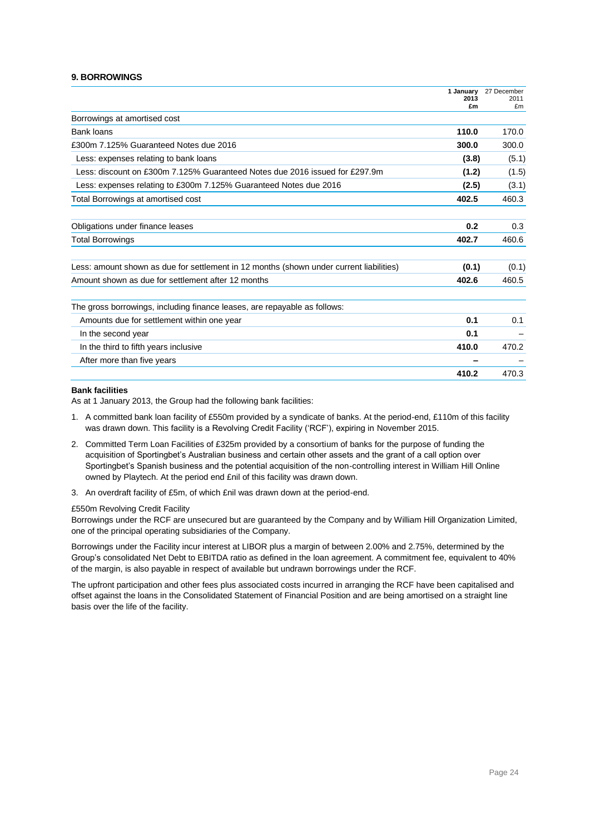### **9. BORROWINGS**

|                                                                                         | 1 January<br>2013<br>£m | 27 December<br>2011<br>£m |
|-----------------------------------------------------------------------------------------|-------------------------|---------------------------|
| Borrowings at amortised cost                                                            |                         |                           |
| Bank loans                                                                              | 110.0                   | 170.0                     |
| £300m 7.125% Guaranteed Notes due 2016                                                  | 300.0                   | 300.0                     |
| Less: expenses relating to bank loans                                                   | (3.8)                   | (5.1)                     |
| Less: discount on £300m 7.125% Guaranteed Notes due 2016 issued for £297.9m             | (1.2)                   | (1.5)                     |
| Less: expenses relating to £300m 7.125% Guaranteed Notes due 2016                       | (2.5)                   | (3.1)                     |
| Total Borrowings at amortised cost                                                      | 402.5                   | 460.3                     |
| Obligations under finance leases                                                        | 0.2                     | 0.3                       |
| <b>Total Borrowings</b>                                                                 | 402.7                   | 460.6                     |
| Less: amount shown as due for settlement in 12 months (shown under current liabilities) | (0.1)                   | (0.1)                     |
| Amount shown as due for settlement after 12 months                                      | 402.6                   | 460.5                     |
| The gross borrowings, including finance leases, are repayable as follows:               |                         |                           |
| Amounts due for settlement within one year                                              | 0.1                     | 0.1                       |
| In the second year                                                                      | 0.1                     |                           |
| In the third to fifth years inclusive                                                   | 410.0                   | 470.2                     |
| After more than five years                                                              |                         |                           |
|                                                                                         | 410.2                   | 470.3                     |

#### **Bank facilities**

As at 1 January 2013, the Group had the following bank facilities:

- 1. A committed bank loan facility of £550m provided by a syndicate of banks. At the period-end, £110m of this facility was drawn down. This facility is a Revolving Credit Facility ('RCF'), expiring in November 2015.
- 2. Committed Term Loan Facilities of £325m provided by a consortium of banks for the purpose of funding the acquisition of Sportingbet's Australian business and certain other assets and the grant of a call option over Sportingbet's Spanish business and the potential acquisition of the non-controlling interest in William Hill Online owned by Playtech. At the period end £nil of this facility was drawn down.
- 3. An overdraft facility of £5m, of which £nil was drawn down at the period-end.

#### £550m Revolving Credit Facility

Borrowings under the RCF are unsecured but are guaranteed by the Company and by William Hill Organization Limited, one of the principal operating subsidiaries of the Company.

Borrowings under the Facility incur interest at LIBOR plus a margin of between 2.00% and 2.75%, determined by the Group's consolidated Net Debt to EBITDA ratio as defined in the loan agreement. A commitment fee, equivalent to 40% of the margin, is also payable in respect of available but undrawn borrowings under the RCF.

The upfront participation and other fees plus associated costs incurred in arranging the RCF have been capitalised and offset against the loans in the Consolidated Statement of Financial Position and are being amortised on a straight line basis over the life of the facility.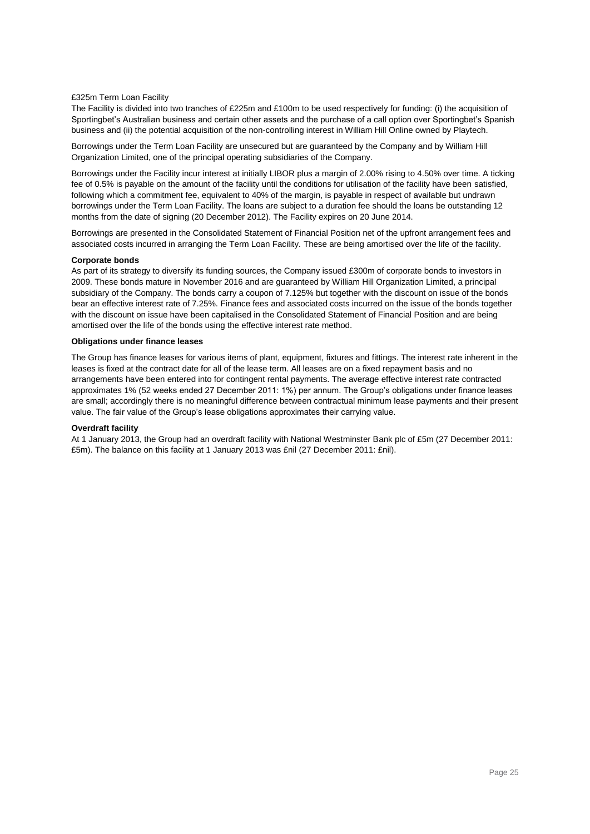#### £325m Term Loan Facility

The Facility is divided into two tranches of £225m and £100m to be used respectively for funding: (i) the acquisition of Sportingbet's Australian business and certain other assets and the purchase of a call option over Sportingbet's Spanish business and (ii) the potential acquisition of the non-controlling interest in William Hill Online owned by Playtech.

Borrowings under the Term Loan Facility are unsecured but are guaranteed by the Company and by William Hill Organization Limited, one of the principal operating subsidiaries of the Company.

Borrowings under the Facility incur interest at initially LIBOR plus a margin of 2.00% rising to 4.50% over time. A ticking fee of 0.5% is payable on the amount of the facility until the conditions for utilisation of the facility have been satisfied, following which a commitment fee, equivalent to 40% of the margin, is payable in respect of available but undrawn borrowings under the Term Loan Facility. The loans are subject to a duration fee should the loans be outstanding 12 months from the date of signing (20 December 2012). The Facility expires on 20 June 2014.

Borrowings are presented in the Consolidated Statement of Financial Position net of the upfront arrangement fees and associated costs incurred in arranging the Term Loan Facility. These are being amortised over the life of the facility.

#### **Corporate bonds**

As part of its strategy to diversify its funding sources, the Company issued £300m of corporate bonds to investors in 2009. These bonds mature in November 2016 and are guaranteed by William Hill Organization Limited, a principal subsidiary of the Company. The bonds carry a coupon of 7.125% but together with the discount on issue of the bonds bear an effective interest rate of 7.25%. Finance fees and associated costs incurred on the issue of the bonds together with the discount on issue have been capitalised in the Consolidated Statement of Financial Position and are being amortised over the life of the bonds using the effective interest rate method.

#### **Obligations under finance leases**

The Group has finance leases for various items of plant, equipment, fixtures and fittings. The interest rate inherent in the leases is fixed at the contract date for all of the lease term. All leases are on a fixed repayment basis and no arrangements have been entered into for contingent rental payments. The average effective interest rate contracted approximates 1% (52 weeks ended 27 December 2011: 1%) per annum. The Group's obligations under finance leases are small; accordingly there is no meaningful difference between contractual minimum lease payments and their present value. The fair value of the Group's lease obligations approximates their carrying value.

#### **Overdraft facility**

At 1 January 2013, the Group had an overdraft facility with National Westminster Bank plc of £5m (27 December 2011: £5m). The balance on this facility at 1 January 2013 was £nil (27 December 2011: £nil).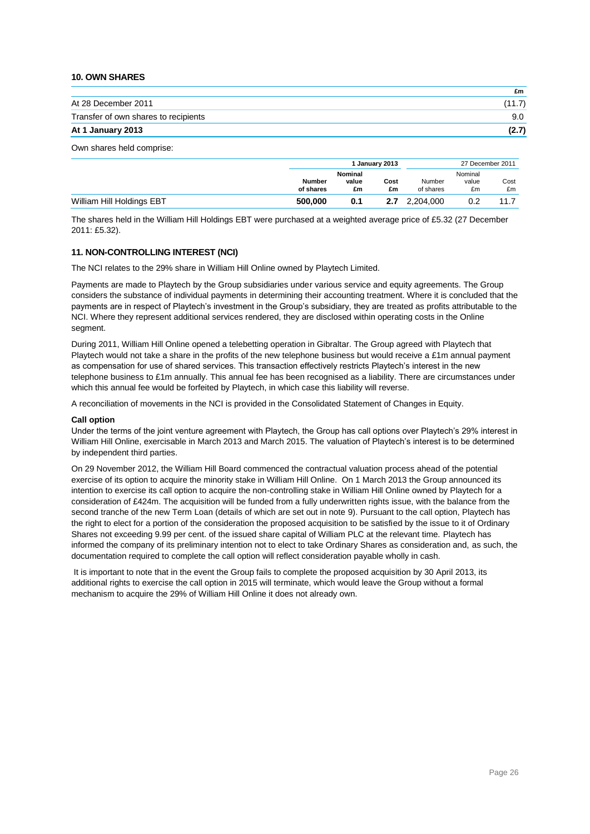### **10. OWN SHARES**

| At 28 December 2011                  |        |
|--------------------------------------|--------|
|                                      | (11.7) |
| Transfer of own shares to recipients | 9.0    |
| At 1 January 2013                    | (2.7)  |

## Own shares held comprise:

|                           | 1 January 2013      |                               | 27 December 2011 |                     |                        |            |
|---------------------------|---------------------|-------------------------------|------------------|---------------------|------------------------|------------|
|                           | Number<br>of shares | <b>Nominal</b><br>value<br>£m | Cost<br>£m       | Number<br>of shares | Nominal<br>value<br>£m | Cost<br>£m |
| William Hill Holdings EBT | 500,000             | 0.1                           | 2.7              | 2.204.000           | 0.2                    | 117        |

The shares held in the William Hill Holdings EBT were purchased at a weighted average price of £5.32 (27 December 2011: £5.32).

#### **11. NON-CONTROLLING INTEREST (NCI)**

The NCI relates to the 29% share in William Hill Online owned by Playtech Limited.

Payments are made to Playtech by the Group subsidiaries under various service and equity agreements. The Group considers the substance of individual payments in determining their accounting treatment. Where it is concluded that the payments are in respect of Playtech's investment in the Group's subsidiary, they are treated as profits attributable to the NCI. Where they represent additional services rendered, they are disclosed within operating costs in the Online segment.

During 2011, William Hill Online opened a telebetting operation in Gibraltar. The Group agreed with Playtech that Playtech would not take a share in the profits of the new telephone business but would receive a £1m annual payment as compensation for use of shared services. This transaction effectively restricts Playtech's interest in the new telephone business to £1m annually. This annual fee has been recognised as a liability. There are circumstances under which this annual fee would be forfeited by Playtech, in which case this liability will reverse.

A reconciliation of movements in the NCI is provided in the Consolidated Statement of Changes in Equity.

#### **Call option**

Under the terms of the joint venture agreement with Playtech, the Group has call options over Playtech's 29% interest in William Hill Online, exercisable in March 2013 and March 2015. The valuation of Playtech's interest is to be determined by independent third parties.

On 29 November 2012, the William Hill Board commenced the contractual valuation process ahead of the potential exercise of its option to acquire the minority stake in William Hill Online. On 1 March 2013 the Group announced its intention to exercise its call option to acquire the non-controlling stake in William Hill Online owned by Playtech for a consideration of £424m. The acquisition will be funded from a fully underwritten rights issue, with the balance from the second tranche of the new Term Loan (details of which are set out in note 9). Pursuant to the call option, Playtech has the right to elect for a portion of the consideration the proposed acquisition to be satisfied by the issue to it of Ordinary Shares not exceeding 9.99 per cent. of the issued share capital of William PLC at the relevant time. Playtech has informed the company of its preliminary intention not to elect to take Ordinary Shares as consideration and, as such, the documentation required to complete the call option will reflect consideration payable wholly in cash.

It is important to note that in the event the Group fails to complete the proposed acquisition by 30 April 2013, its additional rights to exercise the call option in 2015 will terminate, which would leave the Group without a formal mechanism to acquire the 29% of William Hill Online it does not already own.